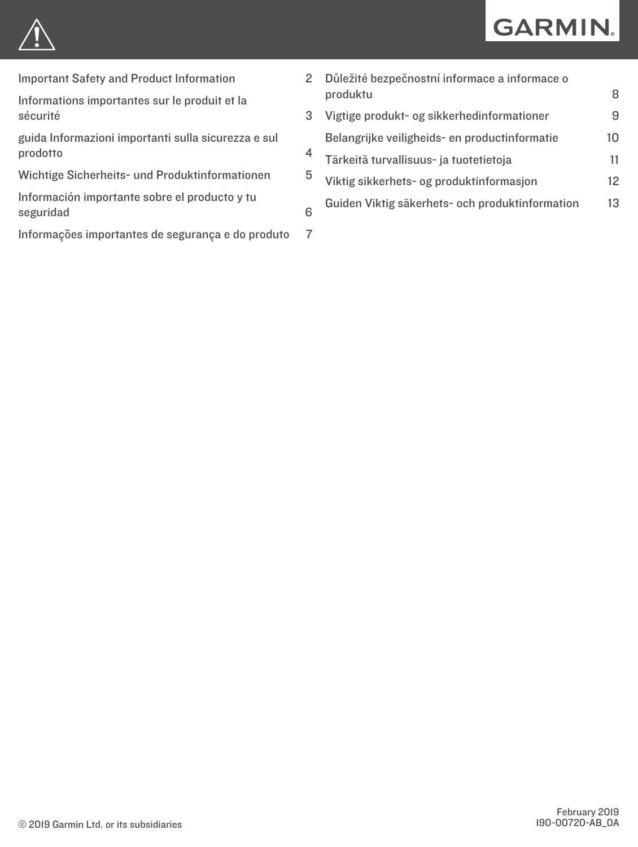

[Important Safety and Product Information](#page-1-0) 2

[Informations importantes sur le produit et la](#page-2-0)  [sécurité](#page-2-0) d'autres de la proposacie de la proposacie de la proposacie de la proposacie de la proposacie de la p

[guida Informazioni importanti sulla sicurezza e sul](#page-3-0)  [prodotto](#page-3-0) 4

[Wichtige Sicherheits- und Produktinformationen](#page-4-0) 5

[Información importante sobre el producto y tu](#page-5-0) [seguridad](#page-5-0) 6

[Informações importantes de segurança e do produto](#page-6-0) 7

|   | Důležité bezpečnostní informace a informace o   |    |
|---|-------------------------------------------------|----|
|   | produktu                                        | 8  |
|   | Vigtige produkt- og sikkerhedinformationer      | 9  |
|   | Belangrijke veiligheids- en productinformatie   | 10 |
| ł | Tärkeitä turvallisuus- ja tuotetietoja          | 11 |
| 5 | Viktig sikkerhets- og produktinformasjon        | 12 |
|   | Guiden Viktig säkerhets- och produktinformation | 13 |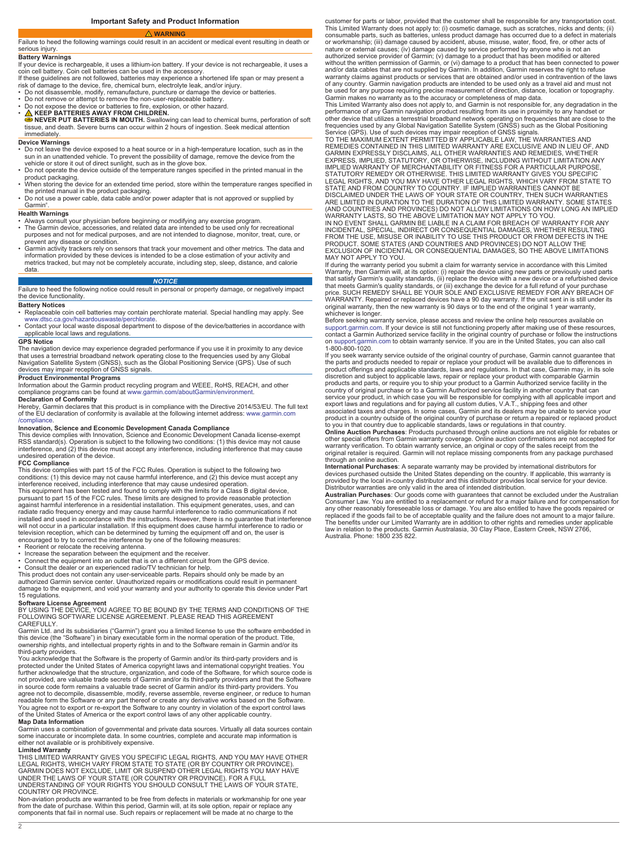## <span id="page-1-0"></span>Failure to heed the following warnings could result in an accident or medical event resulting in death or serious injury.

## **Battery Warnings**

If your device is rechargeable, it uses a lithium-ion battery. If your device is not rechargeable, it uses a coin cell battery. Coin cell batteries can be used in the accessory.<br>If these guidelines are not followed, batteries may experience a shortened life span or may present a<br>risk of damage to the device, fire, chemical burn,

- 
- Do not disassemble, modify, remanufacture, puncture or damage the device or batteries. Do not remove or attempt to remove the non-user-replaceable battery.
- Do not expose the device or batteries to fire, explosion, or other hazard.
- 

• △ KEEP BATTERIES AWAY FROM CHILDREN.<br>● NEVER PUT BATTERIES IN MOUTH. Swallowing can lead to chemical burns, perforation of soft<br>tissue, and death. Severe burns can occur within 2 hours of ingestion. Seek medical attenti immediately.

### **Device Warnings**

- Do not leave the device exposed to a heat source or in a high-temperature location, such as in the
- sun in an unattended vehicle. To prevent the possibility of damage, remove the device from the<br>vehicle or store it out of direct sunlight, such as in the glove box.<br>• Do not operate the device outside of the temperature r
- product packaging.<br>• When storing the device for an extended time period, store within the temperature ranges specified in<br>the printed manual in the product packaging.<br>• Do not use a power cable, data cable and/or power ad
- Garmin® .

### **Health Warnings**

- Always consult your physician before beginning or modifying any exercise program.<br>• The Garmin device, accessories, and related data are intended to be used only for recreational<br>• purposes and not for medical pu prevent any disease or condition.
- Garmin activity trackers rely on sensors that track your movement and other metrics. The data and<br>information provided by these devices is intended to be a close estimation of your activity and<br>metrics tracked, but may not data.

### *NOTICE*

Failure to heed the following notice could result in personal or property damage, or negatively impact the device functionality.

### **Battery Notices**

• Replaceable coin cell batteries may contain perchlorate material. Special handling may apply. See<br>- [www.dtsc.ca.gov/hazardouswaste/perchlorate](http://www.dtsc.ca.gov/hazardouswaste/perchlorate).<br>• Contact your local waste disposal department to dispose of the device/bat

applicable local laws and regulations.

### **GPS Notice**

The navigation device may experience degraded performance if you use it in proximity to any device<br>that uses a terrestrial broadband network operating close to the frequencies used by any Global<br>Navigation Satellite System

### **Product Environmental Programs**

Information about the Garmin product recycling program and WEEE, RoHS, REACH, and other compliance programs can be found at [www.garmin.com/aboutGarmin/environment](http://www.garmin.com/aboutGarmin/environment).

**Declaration of Conformity** Hereby, Garmin declares that this product is in compliance with the Directive 2014/53/EU. The full text of the EU declaration of conformity is available at the following internet address: [www.garmin.com](http://www.garmin.com/compliance) [/compliance](http://www.garmin.com/compliance).

Innovation, Science and Economic Development Canada Compliance<br>This device complies with Innovation, Science and Economic Development Canada license-exempt<br>RisS standard(s). Operation is subject to the following two condit undesired operation of the device.

### **FCC Compliance**

This device complies with part 15 of the FCC Rules. Operation is subject to the following two conditions: (1) this device may not cause harmful interference, and (2) this device must accept any

interference received, including interference that may cause undesired operation.<br>This equipment has been tested and found to comply with the limits for a Class B digital device,<br>pursuant to part 15 of the FCC rules. These against harmful interference in a residential installation. This equipment generates, uses, and can radiate radio frequency energy and may cause harmful interference to radio communications if not<br>installed and used in accordance with the instructions. However, there is no guarantee that interference<br>will not occur in a television reception, which can be determined by turning the equipment off and on, the user is encouraged to try to correct the interference by one of the following measures:

• Reorient or relocate the receiving antenna.<br>• Increase the separation between the equipment and the receiver.<br>• Connect the equipment into an outlet that is on a different circuit from the GPS device.<br>• Consult the deale

This product does not contain any user-serviceable parts. Repairs should only be made by an authorized Garmin service center. Unauthorized repairs or modifications could result in permanent damage to the equipment, and void your warranty and your authority to operate this device under Part 15 regulations.

**Software License Agreement**<br>BY USING THE DEVICE, YOU AGREE TO BE BOUND BY THE TERMS AND CONDITIONS OF THE<br>FOLLOWING SOFTWARE LICENSE AGREEMENT. PLEASE READ THIS AGREEMENT CAREFULLY.

Garmin Ltd. and its subsidiaries ("Garmin") grant you a limited license to use the software embedded in<br>this device (the "Software") in binary executable form in the normal operation of the product. Title,<br>ownership rights third-party providers.

You acknowledge that the Software is the property of Garmin and/or its third-party providers and is protected under the United States of America copyright laws and international copyright treaties. You<br>further acknowledge that the structure, organization, and code of the Software, for which source code is<br>not provided, a agree not to decompile, disassemble, modify, reverse assemble, reverse engineer, or reduce to human readable form the Software or any part thereof or create any derivative works based on the Software. You agree not to export or re-export the Software to any country in violation of the export control laws of the United States of America or the export control laws of any other applicable country.

**Map Data Information** Garmin uses a combination of governmental and private data sources. Virtually all data sources contain some inaccurate or incomplete data. In some countries, complete and accurate map information is either not available or is prohibitively expensive.

**Limited Warranty** THIS LIMITED WARRANTY GIVES YOU SPECIFIC LEGAL RIGHTS, AND YOU MAY HAVE OTHER LEGAL RIGHTS, WHICH VARY FROM STATE TO STATE (OR BY COUNTRY OR PROVINCE).<br>GARMIN DOES NOT EXCLUDE, LIMIT OR SUSPEND OTHER LEGAL RIGHTS YOU MAY HAVE<br>UNDER THE LAWS OF YOUR STATE (OR COUNTRY OR PROVINCE). FOR A FULL<br>UNDERSTA

COUNTRY OR PROVINCE. Non-aviation products are warranted to be free from defects in materials or workmanship for one year from the date of purchase. Within this period, Garmin will, at its sole option, repair or replace any components that fail in normal use. Such repairs or replacement will be made at no charge to the

customer for parts or labor, provided that the customer shall be responsible for any transportation cost. This Limited Warranty does not apply to: (i) cosmetic damage, such as scratches, nicks and dents; (ii) consumable parts, such as batteries, unless product damage has occurred due to a defect in materials or workmanship; (iii) damage caused by accident, abuse, misuse, water, flood, fire, or other acts of nature or external causes; (iv) damage caused by service performed by anyone who is not an<br>authorized service provider of Garmin; (v) damage to a product that has been modified or altered<br>without the written permission of and/or data cables that are not supplied by Garmin. In addition, Garmin reserves the right to refuse warranty claims against products or services that are obtained and/or used in contravention of the laws of any country. Garmin navigation products are intended to be used only as a travel aid and must not<br>be used for any purpose requiring precise measurement of direction, distance, location or topography.<br>Garmin makes no war

performance of any Garmin navigation product resulting from its use in proximity to any handset or<br>other device that utilizes a terrestrial broadband network operating on frequencies that are close to the<br>frequencies used

EXPRESS, IMPLIED, STATUTORY, OR OTHERWISE, INCLUDING WITHOUT LIMITATION ANY<br>IMPLIED WARRANTY OF MERCHANTABILITY OR FITNESS FOR A PARTICULAR PURPOSE. IMPLIED WARRANTY OF MERCHANTABILITY OR FITNESS FOR A PARTICULAR PURPOSE,<br>STATUTORY REMEDY OR OTHERWISE. THIS LIMITED WARRANTY GIVES YOU SPECIFIC<br>LEGAL RIGHTS, AND YOU MAY HAVE OTHER LEGAL RIGHTS, WHICH VARY FROM STATE TO<br>S

If during the warranty period you submit a claim for warranty service in accordance with this Limited Warranty, then Garmin will, at its option: (i) repair the device using new parts or previously used parts that satisfy Garmin's quality standards, (ii) replace the device with a new device or a refurbished device<br>that meets Garmin's quality standards, or (iii) exchange the device for a full refund of your purchase<br>price. SUCH original warranty, then the new warranty is 90 days or to the end of the original 1 year warranty, whichever is longer.

Before seeking warranty service, please access and review the online help resources available on [support.garmin.com.](http://www.support.garmin.com) If your device is still not functioning properly after making use of these resources, contact a Garmin Authorized service facility in the original country of purchase or follow the instructions on [support.garmin.com](http://www.support.garmin.com) to obtain warranty service. If you are in the United States, you can also call 1-800-800-1020.

If you seek warranty service outside of the original country of purchase, Garmin cannot guarantee that the parts and products needed to repair or replace your product will be available due to differences in product offerings and applicable standards, laws and regulations. In that case, Garmin may, in its sole discretion and subject to applicable laws, repair or replace your product with comparable Garmin<br>products and parts, or require you to ship your product to a Garmin Authorized service facility in the<br>country of original pu service your product, in which case you will be responsible for complying with all applicable import and export laws and regulations and for paying all custom duties, V.A.T., shipping fees and other

associated taxes and charges. In some cases, Garmin and its dealers may be unable to service your<br>product in a country outside of the original country of purchase or return a repaired or replaced product<br>to you in that cou other special offers from Garmin warranty coverage. Online auction confirmations are not accepted for warranty verification. To obtain warranty service, an original or copy of the sales receipt from the original retailer is required. Garmin will not replace missing components from any package purchased

through an online auction.<br>International Purchases: A separate warranty may be provided by international distributors for<br>International Purchases: A separate warranty may be provided by international distributors for<br>Distr

Consumer Law. You are entitled to a replacement or refund for a major failure and for compensation for any other reasonably foreseeable loss or damage. You are also entitled to have the goods repaired or replaced if the goods fail to be of acceptable quality and the failure does not amount to a major failure.<br>The benefits under our Limited Warranty are in addition to other rights and remedies under applicable<br>law in relati Australia. Phone: 1800 235 822.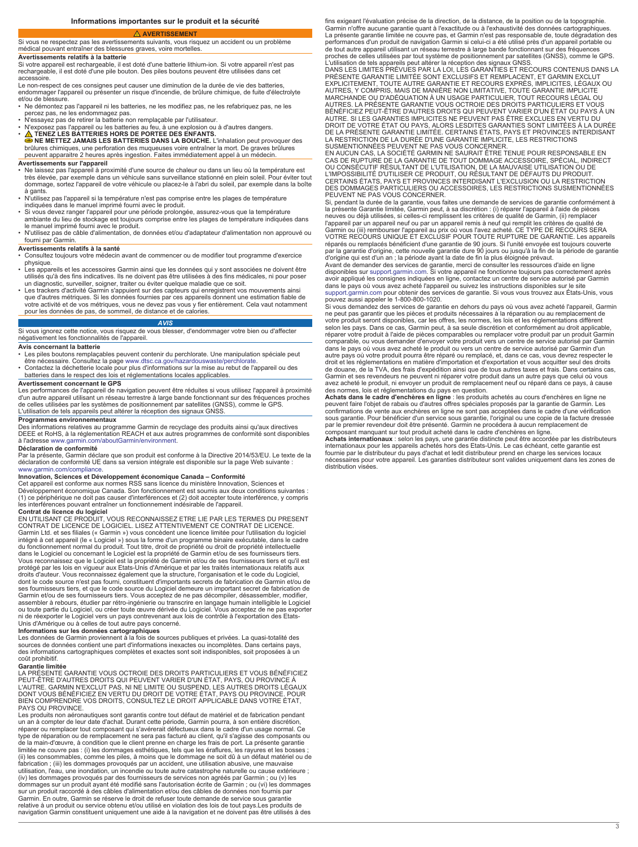**AVERTISSEMENT**

## <span id="page-2-0"></span>Si vous ne respectez pas les avertissements suivants, vous risquez un accident ou un problème médical pouvant entraîner des blessures graves, voire mortelles.

**Avertissements relatifs à la batterie**

Si votre appareil est rechargeable, il est doté d'une batterie lithium-ion. Si votre appareil n'est pas rechargeable, il est doté d'une pile bouton. Des piles boutons peuvent être utilisées dans cet accessoire.

Le non-respect de ces consignes peut causer une diminution de la durée de vie des batteries, endommager l'appareil ou présenter un risque d'incendie, de brûlure chimique, de fuite d'électrolyte et/ou de blessure.

- Ne démontez pas l'appareil ni les batteries, ne les modifiez pas, ne les refabriquez pas, ne les
- percez pas, ne les endommagez pas. N'essayez pas de retirer la batterie non remplaçable par l'utilisateur.
- 
- N'exposez pas l'appareil ou les batteries au feu, à une explosion ou à d'autres dangers. **TENEZ LES BATTERIES HORS DE PORTEE DES ENFANTS. NE METTEZ JAMAIS LES BATTERIES DANS LA BOUCHE.** L'inhalation peut provoquer des brûlures chimiques, une perforation des muqueuses voire entraîner la mort. De graves brûlures peuvent apparaitre 2 heures après ingestion. Faites immédiatement appel à un médecin.

### **Avertissements sur l'appareil**

- Ne laissez pas l'appareil à proximité d'une source de chaleur ou dans un lieu où la température est très élevée, par exemple dans un véhicule sans surveillance stationné en plein soleil. Pour éviter tout dommage, sortez l'appareil de votre véhicule ou placez-le à l'abri du soleil, par exemple dans la boîte à gants.
- N'utilisez pas l'appareil si la température n'est pas comprise entre les plages de température
- indiquées dans le manuel imprimé fourni avec le produit. Si vous devez ranger l'appareil pour une période prolongée, assurez-vous que la température ambiante du lieu de stockage est toujours comprise entre les plages de température indiquées dans
- le manuel imprimé fourni avec le produit. N'utilisez pas de câble d'alimentation, de données et/ou d'adaptateur d'alimentation non approuvé ou fourni par Garmin.

### **Avertissements relatifs à la santé**

• Consultez toujours votre médecin avant de commencer ou de modifier tout programme d'exercice physique.

- Les appareils et les accessoires Garmin ainsi que les données qui y sont associées ne doivent être utilisés qu'à des fins indicatives. Ils ne doivent pas être utilisées à des fins médicales, ni pour poser un diagnostic, surveiller, soigner, traiter ou éviter quelque maladie que ce soit.
- Les trackers d'activité Garmin s'appuient sur des capteurs qui enregistrent vos mouvements ainsi que d'autres métriques. Si les données fournies par ces appareils donnent une estimation fiable de votre activité et de vos métriques, vous ne devez pas vous y fier entièrement. Cela vaut notamment pour les données de pas, de sommeil, de distance et de calories.

### *AVIS* Si vous ignorez cette notice, vous risquez de vous blesser, d'endommager votre bien ou d'affecter négativement les fonctionnalités de l'appareil.

### **Avis concernant la batterie**

- Les piles boutons remplaçables peuvent contenir du perchlorate. Une manipulation spéciale peut<br>étre nécessaire. Consultez la page [www.dtsc.ca.gov/hazardouswaste/perchlorate](http://www.dtsc.ca.gov/hazardouswaste/perchlorate).<br>• Contactez la déchetterie locale pour plus d'
- 

### **Avertissement concernant le GPS**

Les performances de l'appareil de navigation peuvent être réduites si vous utilisez l'appareil à proximité d'un autre appareil utilisant un réseau terrestre à large bande fonctionnant sur des fréquences proches de celles utilisées par les systèmes de positionnement par satellites (GNSS), comme le GPS. L'utilisation de tels appareils peut altérer la réception des signaux GNSS.

### **Programmes environnementaux**

Des informations relatives au programme Garmin de recyclage des produits ainsi qu'aux directives<br>DEEE et RoHS, à la réglementation REACH et aux autres programmes de conformité sont disponibles<br>à l'adresse www.garmin.com/a

### **Déclaration de conformité**

Par la présente, Garmin déclare que son produit est conforme à la Directive 2014/53/EU. Le texte de la déclaration de conformité UE dans sa version intégrale est disponible sur la page Web suivante : [www.garmin.com/compliance](http://www.garmin.com/compliance).

**Innovation, Sciences et Développement économique Canada – Conformité**<br>Cet appareil est conforme aux normes RSS sans licence du ministère Innovation, Sciences et Développement économique Canada. Son fonctionnement est soumis aux deux conditions suivantes : (1) ce périphérique ne doit pas causer d'interférences et (2) doit accepter toute interférence, y compris les interférences pouvant entraîner un fonctionnement indésirable de l'appareil.

**Contrat de licence du logiciel**<br>EN UTILISANT CE PRODUIT, VOUS RECONNAISSEZ ETRE LIE PAR LES TERMES DU PRESENT<br>CONTRAT DE LICENCE DE LOGICIEL. LISEZ ATTENTIVEMENT CE CONTRAT DE LICENCE. Garmin Ltd. et ses filiales (« Garmin ») vous concèdent une licence limitée pour l'utilisation du logiciel intégré à cet appareil (le « Logiciel ») sous la forme d'un programme binaire exécutable, dans le cadre du fonctionnement normal du produit. Tout titre, droit de propriété ou droit de propriété intellectuelle<br>dans le Logiciel ou concernant le Logiciel est la propriété de Garmin et/ou de ses fournisseurs tiers.<br>Vous reconnais droits d'auteur. Vous reconnaissez également que la structure, l'organisation et le code du Logiciel,<br>dont le code source n'est pas fourni, constituent d'importants secrets de fabrication de Garmin et/ou de ses fournisseurs tiers, et que le code source du Logiciel demeure un important secret de fabrication de<br>Garmin et/ou de ses fournisseurs tiers. Vous acceptez de ne pas décompiler, désassembler, modifier,<br>assembler à rebour ni de réexporter le Logiciel vers un pays contrevenant aux lois de contrôle à l'exportation des Etats-Unis d'Amérique ou à celles de tout autre pays concerné.

**Informations sur les données cartographiques**<br>Les données de Garmin proviennent à la fois de sources publiques et privées. La quasi-totalité des<br>sources de données contient une part d'informations inexactes ou incomplètes des informations cartographiques complètes et exactes sont soit indisponibles, soit proposées à un coût prohibitif.

**Garantie limitée** LA PRÉSENTE GARANTIE VOUS OCTROIE DES DROITS PARTICULIERS ET VOUS BÉNÉFICIEZ PEUT-ÉTRE D'AUTRES DROITS QUI PEUVENT VARIER D'UN ÉTAT, PAYS, OU PROVINCE À<br>L'AUTRE. GARMIN N'EXCLUT PAS, NI NE LIMITE OU SUSPEND, LES AUTRES DROITS LÉGAUX<br>DONT VOUS BÉNÉFICIEZ EN VERTU DU DROIT DE VOTRE ÉTAT, PAYS OU PROV PAYS OU PROVINCE

Les produits non aéronautiques sont garantis contre tout défaut de matériel et de fabrication pendant<br>un an à compter de leur date d'achat. Durant cette période, Garmin pourra, à son entière discrétion,<br>réparer ou remplace type de réparation ou de remplacement ne sera pas facturé au client, qu'il s'agisse des composants ou de la main-d'œuvre, à condition que le client prenne en charge les frais de port. La présente garantie limitée ne couvre pas : (i) les dommages esthétiques, tels que les éraflures, les rayures et les bosses ;<br>(ii) les consommables, comme les piles, à moins que le dommage ne soit dû à un défaut matériel ou de<br>fabrication ; ( (iv) les dommages provoqués par des fournisseurs de services non agréés par Garmin ; ou (v) les<br>dommages sur un produit ayant été modifié sans l'autorisation écrite de Garmin ; ou (vi) les dommages<br>sur un produit raccordé Garmin. En outre, Garmin se réserve le droit de refuser toute demande de service sous garantie relative à un produit ou service obtenu et/ou utilisé en violation des lois de tout pays.Les produits de navigation Garmin constituent uniquement une aide à la navigation et ne doivent pas être utilisés à des

fins exigeant l'évaluation précise de la direction, de la distance, de la position ou de la topographie. Garmin n'offre aucune garantie quant à l'exactitude ou à l'exhaustivité des données cartographiques. La présente garantie limitée ne couvre pas, et Garmin n'est pas responsable de, toute dégradation des performances d'un produit de navigation Garmin si celui-ci a été utilisé près d'un appareil portable ou de tout autre appareil utilisant un réseau terrestre à large bande fonctionnant sur des fréquences<br>proches de celles utilisées par tout système de positionnement par satellites (GNSS), comme le GPS.<br>L'utilisation de tels a

DANS LES LIMITES PRÉVUES PAR LA LOI, LES GARANTIES ET RECOURS CONTENUS DANS LA<br>PRÉSENTE GARANTIE LIMITÉE SONT EXCLUSIFS ET REMPLACENT, ET GARMIN EXCLUT<br>EXPLICITEMENT, TOUTE AUTRE GARANTIE ET RECOURS EXPRÈS, IMPLICITES, LÉG MARCHANDE OU D'ADÉQUATION À UN USAGE PARTICULIER, TOUT RECOURS LÉGAL OU AUTRES. LA PRÉSENTE GARANTIE VOUS OCTROIE DES DROITS PARTICULIERS ET VOUS BÉNÉFICIEZ PEUT-ÉTRE D'AUTRES DROITS QUI PEUVENT VARIER D'UN ÉTAT OU PAYS À UN<br>AUTRE. SI LES GARANTIES IMPLICITES NE PEUVENT PAS ÊTRE EXCLUES EN VERTU DU<br>DROIT DE VOTRE ÉTAT OU PAYS, ALORS LESDITES GARANTIES SONT LIMITÉES DE LA PRÉSENTE GARANTIE LIMITÉE. CERTAINS ÉTATS, PAYS ET PROVINCES INTERDISANT LA RESTRICTION DE LA DURÉE D'UNE GARANTIE IMPLICITE, LES RESTRICTIONS<br>SUSMENTIONNÉES PEUVENT NE PAS VOUS CONCERNER.<br>EN AUCUN CAS, LA SOCIÉTÉ GARMIN NE SAURAIT ÊTRE TENUE POUR RESPONSABLE EN

CAS DE RUPTURE DE LA GARANTIE DE TOUT DOMMAGE ACCESSOIRE, SPÉCIAL, INDIRECT OU CONSÉCUTIF RÉSULTANT DE L'UTILISATION, DE LA MAUVAISE UTILISATION OU DE L'IMPOSSIBILITÉ D'UTILISER CE PRODUIT, OU RÉSULTANT DE DÉFAUTS DU PRODUIT.<br>CERTAINS ÉTATS, PAYS ET PROVINCES INTERDISANT L'EXCLUSION OU LA RESTRICTION<br>DES DOMMAGES PARTICULIERS OU ACCESSOIRES, LES RESTRICTIONS SUSMENTIONNÉ **PEUVENT NE PAS VOUS CONCERNER.** 

Si, pendant la durée de la garantie, vous faites une demande de services de garantie conformément à la présente Garantie limitée, Garmin peut, à sa discrétion : (i) réparer l'appareil à l'aide de pièces neuves ou déjà utilisées, si celles-ci remplissent les critères de qualité de Garmin, (ii) remplacer<br>l'appareil par un appareil neuf ou par un appareil remis à neuf qui remplit les critères de qualité de<br>Garmin ou (iii) re VOTRE RECOURS UNIQUE ET EXCLUSIF POUR TOUTE RUPTURE DE GARANTIE. Les appareils réparés ou remplacés bénéficient d'une garantie de 90 jours. Si l'unité envoyée est toujours couverte<br>par la garantie d'origine, cette nouvelle garantie dure 90 jours ou jusqu'à la fin de la période de garantie<br>d'origine q

avoir appliqué les consignes indiquées en ligne, contactez un centre de service autorisé par Garmin dans le pays où vous avez acheté l'appareil ou suivez les instructions disponibles sur le site [support.garmin.com](http://www.support.garmin.com) pour obtenir des services de garantie. Si vous vous trouvez aux États-Unis, vous pouvez aussi appeler le 1-800-800-1020.

Si vous demandez des services de garantie en dehors du pays où vous avez acheté l'appareil, Garmin<br>ne peut pas garantir que les pièces et produits nécessaires à la réparation ou au remplacement de<br>votre produit seront disp réparer votre produit à l'aide de pièces comparables ou remplacer votre produit par un produit Garmin comparable, ou vous demander d'envoyer votre produit vers un centre de service autorisé par Garmin dans le pays où vous avez acheté le produit ou vers un centre de service autorisé par Garmin d'un autre pays où votre produit pourra être réparé ou remplacé, et, dans ce cas, vous devrez respecter le droit et les réglementations en matière d'importation et d'exportation et vous acquitter seul des droits de douane, de la TVA, des frais d'expédition ainsi que de tous autres taxes et frais. Dans certains cas, Garmin et ses revendeurs ne peuvent ni réparer votre produit dans un autre pays que celui où vous<br>avez acheté le produit, ni envoyer un produit de remplacement neuf ou réparé dans ce pays, à cause<br>des normes, lois et régle

**Achats dans le cadre d'enchères en ligne** : les produits achetés au cours d'enchères en ligne ne peuvent faire l'objet de rabais ou d'autres offres spéciales proposés par la garantie de Garmin. Les confirmations de vente aux enchères en ligne ne sont pas acceptées dans le cadre d'une vérification<br>sous garantie. Pour bénéficier d'un service sous garantie, l'original ou une copie de la facture dressée<br>par le premier re

**Achats internationaux** : selon les pays, une garantie distincte peut être accordée par les distributeurs internationaux pour les appareils achetés hors des Etats-Unis. Le cas échéant, cette garantie est fournie par le distributeur du pays d'achat et ledit distributeur prend en charge les services locaux<br>nécessaires pour votre appareil. Les garanties distributeur sont valides uniquement dans les zones de<br>distribution visée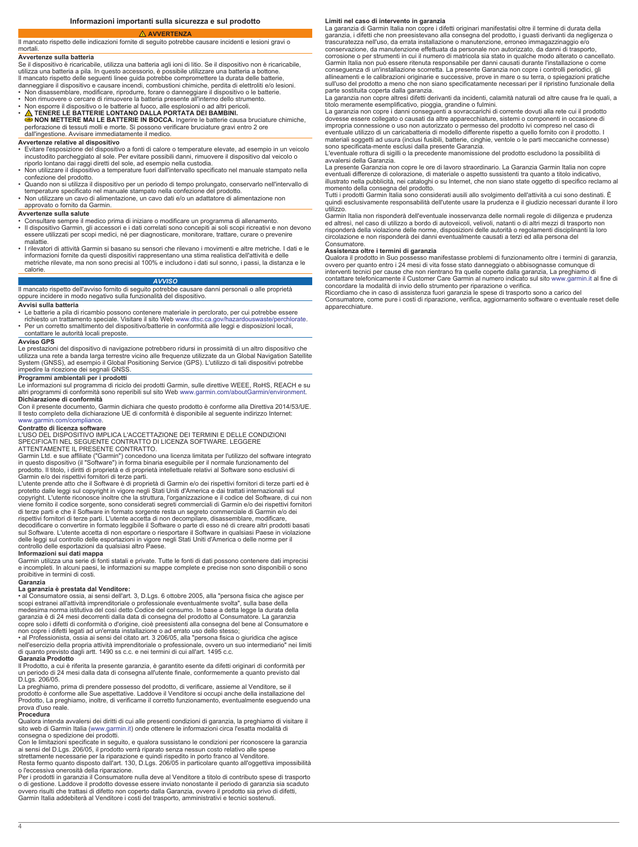### **AVVERTENZA**

<span id="page-3-0"></span>Il mancato rispetto delle indicazioni fornite di seguito potrebbe causare incidenti e lesioni gravi o

## **Avvertenze sulla batteria**

mortali.

Se il dispositivo è ricaricabile, utilizza una batteria agli ioni di litio. Se il dispositivo non è ricaricabile, utilizza una batteria a pila. In questo accessorio, è possibile utilizzare una batteria a bottone.<br>Il mancato rispetto delle seguenti linee guida potrebbe compromettere la durata delle batterie,<br>danneggiare il dispositivo

• Non disassemblare, modificare, riprodurre, forare o danneggiare il dispositivo o le batterie. • Non rimuovere o cercare di rimuovere la batteria presente all'interno dello strumento.

- Non esporre il dispositivo o le batterie al fuoco, alle esplosioni o ad altri pericoli.
- **A** TENERE LE BATTERIE LONTANO DALLA PORTATA DEI BAMBINI.<br>● NON METTERE MAI LE BATTERIE IN BOCCA. Ingerire le batterie causa bruciature chimiche,<br>perforazione di tessuti molli e morte. Si possono verificare bruciature g
- dall'ingestione. Avvisare immediatamente il medico.

### **Avvertenze relative al dispositivo**

- Evitare l'esposizione del dispositivo a fonti di calore o temperature elevate, ad esempio in un veicolo incustodito parcheggiato al sole. Per evitare possibili danni, rimuovere il dispositivo dal veicolo o<br>riporlo lontano dai raggi diretti del sole, ad esempio nella custodia.<br>• Non utilizzare il dispositivo a temperature fu
- confezione del prodotto.
- Quando non si utilizza il dispositivo per un periodo di tempo prolungato, conservarlo nell'intervallo di<br>• temperature specificato nel manuale stampato nella confezione del prodotto.<br>• Non utilizzare un cavo di alimentaz
- 

# approvato o fornito da Garmin.

# **Avvertenze sulla salute**

- Consultare sempre il medico prima di iniziare o modificare un programma di allenamento.
- Il dispositivo Garmin, gli accessori e i dati correlati sono concepiti ai soli scopi ricreativi e non devono essere utilizzati per scopi medici, né per diagnosticare, monitorare, trattare, curare o prevenire malattie.
- I rilevatori di attività Garmin si basano su sensori che rilevano i movimenti e altre metriche. I dati e le informazioni fornite da questi dispositivi rappresentano una stima realistica dell'attività e delle metriche rilevate, ma non sono precisi al 100% e includono i dati sul sonno, i passi, la distanza e le calorie.

### *AVVISO*

### Il mancato rispetto dell'avviso fornito di seguito potrebbe causare danni personali o alle proprietà oppure incidere in modo negativo sulla funzionalità del dispositivo.

## **Avvisi sulla batteria**

- 
- Le batterie a pila di ricambio possono contenere materiale in perclorato, per cui potrebbe essere<br>• richiesto un trattamento speciale. Visitare il sito Web [www.dtsc.ca.gov/hazardouswaste/perchlorate.](http://www.dtsc.ca.gov/hazardouswaste/perchlorate)<br>• Per un corretto sm

## contattare le autorità locali preposte.

## **Avviso GPS**

Le prestazioni del dispositivo di navigazione potrebbero ridursi in prossimità di un altro dispositivo che utilizza una rete a banda larga terrestre vicino alle frequenze utilizzate da un Global Navigation Satellite System (GNSS), ad esempio il Global Positioning Service (GPS). L'utilizzo di tali dispositivi potrebbe impedire la ricezione dei segnali GNSS.

### **Programmi ambientali per i prodotti**

Le informazioni sul programma di riciclo dei prodotti Garmin, sulle direttive WEEE, RoHS, REACH e su altri programmi di conformità sono reperibili sul sito Web [www.garmin.com/aboutGarmin/environment](http://www.garmin.com/aboutGarmin/environment). **Dichiarazione di conformità**

Con il presente documento, Garmin dichiara che questo prodotto è conforme alla Direttiva 2014/53/UE. Il testo completo della dichiarazione UE di conformità è disponibile al seguente indirizzo Internet: [www.garmin.com/compliance](http://www.garmin.com/compliance).

### **Contratto di licenza software**

L'USO DEL DISPOSITIVO IMPLICA L'ACCETTAZIONE DEI TERMINI E DELLE CONDIZIONI SPECIFICATI NEL SEGUENTE CONTRATTO DI LICENZA SOFTWARE. LEGGERE ATTENTAMENTE IL PRESENTE CONTRATTO.

Garmin Ltd. e sue affiliate ("Garmin") concedono una licenza limitata per l'utilizzo del software integrato<br>in questo dispositivo (il "Software") in forma binaria eseguibile per il normale funzionamento del<br>prodotto. Il ti

Garmin e/o dei rispettivi fornitori di terze parti. L'utente prende atto che il Software è di proprietà di Garmin e/o dei rispettivi fornitori di terze parti ed è protetto dalle leggi sul copyright in vigore negli Stati Uniti d'America e dai trattati internazionali sul<br>copyright. L'utente riconosce inoltre che la struttura, l'organizzazione e il codice del Software, di cui non<br>viene rispettivi fornitori di terze parti. L'utente accetta di non decompilare, disassemblare, modificare, decodificare o convertire in formato leggibile il Software o parte di esso né di creare altri prodotti basati sul Software. L'utente accetta di non esportare o riesportare il Software in qualsiasi Paese in violazione<br>delle leggi sul controllo delle esportazioni in vigore negli Stati Uniti d'America o delle norme per il<br>controllo d

**Informazioni sui dati mappa**<br>Garmin utilizza una serie di fonti statali e private. Tutte le fonti di dati possono contenere dati imprecisi<br>e incompleti. In alcuni paesi, le informazioni su mappe complete e precise non son proibitive in termini di costi.

## **Garanzia**

**La garanzia è prestata dal Venditore:** • al Consumatore ossia, ai sensi dell'art. 3, D.Lgs. 6 ottobre 2005, alla "persona fisica che agisce per scopi estranei all'attività imprenditoriale o professionale eventualmente svolta", sulla base della<br>medesima norma istitutiva del così detto Codice del consumo. In base a detta legge la durata della<br>garanzia è di 24 mesi d

non copre i difetti legati ad un'errata installazione o ad errato uso dello stesso; • al Professionista, ossia ai sensi del citato art. 3 206/05, alla "persona fisica o giuridica che agisce nell'esercizio della propria attività imprenditoriale o professionale, ovvero un suo intermediario" nei limiti di quanto previsto dagli artt. 1490 ss c.c. e nei termini di cui all'art. 1495 c.c. **Garanzia Prodotto**

Il Prodotto, a cui è riferita la presente garanzia, è garantito esente da difetti originari di conformità per un periodo di 24 mesi dalla data di consegna all'utente finale, conformemente a quanto previsto dal D.Lgs. 206/05.

La preghiamo, prima di prendere possesso del prodotto, di verificare, assieme al Venditore, se il prodotto è conforme alle Sue aspettative. Laddove il Venditore si occupi anche della installazione del Prodotto, La preghiamo, inoltre, di verificarne il corretto funzionamento, eventualmente eseguendo una prova d'uso reale.

### **Procedura**

Qualora intenda avvalersi dei diritti di cui alle presenti condizioni di garanzia, la preghiamo di visitare il<br>sito web di Garmin Italia ([www.garmin.it](http://www.garmin.it)) onde ottenere le informazioni circa l'esatta modalità di

consegna o spedizione dei prodotti.<br>Con le limitazioni specificate in seguito, e qualora sussistano le condizioni per riconoscere la garanzia<br>ai sensi del D.Lgs. 206/05, il prodotto verrà riparato senza nessun costo relati

Resta fermo quanto disposto dall'art. 130, D.Lgs. 206/05 in particolare quanto all'oggettiva impossibilità o l'eccessiva onerosità della riparazione.

Per i prodotti in garanzia il Consumatore nulla deve al Venditore a titolo di contributo spese di trasporto o di gestione. Laddove il prodotto dovesse essere inviato nonostante il periodo di garanzia sia scaduto<br>ovvero risulti che trattasi di difetto non coperto dalla Garanzia, ovvero il prodotto sia privo di difetti, Garmin Italia addebiterà al Venditore i costi del trasporto, amministrativi e tecnici sostenuti.

### **Limiti nel caso di intervento in garanzia**

La garanzia di Garmin Italia non copre i difetti originari manifestatisi oltre il termine di durata della garanzia, i difetti che non preesistevano alla consegna del prodotto, i guasti derivanti da negligenza o trascuratezza nell'uso, da errata installazione o manutenzione, erroneo immagazzinaggio e/o conservazione, da manutenzione effettuata da personale non autorizzato, da danni di trasporto, corrosione o per strumenti in cui il numero di matricola sia stato in qualche modo alterato o cancellato. Garmin Italia non può essere ritenuta responsabile per danni causati durante l'installazione o come conseguenza di un'installazione scorretta. La presente Garanzia non copre i controlli periodici, gli allineamenti e le calibrazioni originarie e successive, prove in mare o su terra, o spiegazioni pratiche<br>sull'uso del prodotto a meno che non siano specificatamente necessari per il ripristino funzionale della<br>parte sostit

La garanzia non copre altresì difetti derivanti da incidenti, calamità naturali od altre cause fra le quali, a titolo meramente esemplificativo, pioggia, grandine o fulmini.

La garanzia non copre i danni conseguenti a sovraccarichi di corrente dovuti alla rete cui il prodotto dovesse essere collegato o causati da altre apparecchiature, sistemi o componenti in occasione di impropria connessione o uso non autorizzato o permesso del prodotto ivi compreso nel caso di eventuale utilizzo di un caricabatteria di modello differente rispetto a quello fornito con il prodotto. I materiali soggetti ad usura (inclusi fusibili, batterie, cinghie, ventole o le parti meccaniche connesse) sono specificata-mente esclusi dalla presente Garanzia.

L'eventuale rottura di sigilli o la precedente manomissione del prodotto escludono la possibilità di avvalersi della Garanzia.

La presente Garanzia non copre le ore di lavoro straordinario. La Garanzia Garmin Italia non copre eventuali differenze di colorazione, di materiale o aspetto sussistenti tra quanto a titolo indicativo,<br>illustrato nella pubblicità, nei cataloghi o su Internet, che non siano state oggetto di specifico reclamo al<br>momento

quindi esclusivamente responsabilità dell'utente usare la prudenza e il giudizio necessari durante il loro utilizzo.

Garmin Italia non risponderà dell'eventuale inosservanza delle normali regole di diligenza e prudenza ed altresì, nel caso di utilizzo a bordo di autoveicoli, velivoli, natanti o di altri mezzi di trasporto non risponderà della violazione delle norme, disposizioni delle autorità o regolamenti disciplinanti la loro circolazione e non risponderà dei danni eventualmente causati a terzi ed alla persona del **Consumatore** 

## **Assistenza oltre i termini di garanzia**

Qualora il prodotto in Suo possesso manifestasse problemi di funzionamento oltre i termini di garanzia, ovvero per quanto entro i 24 mesi di vita fosse stato danneggiato o abbisognasse comunque di interventi tecnici per cause che non rientrano fra quelle coperte dalla garanzia, La preghiamo di contattare telefonicamente il Customer Care Garmin al numero indicato sul sito [www.garmin.it](http://www.garmin.it) al fine di

concordare la modalità di invio dello strumento per riparazione o verifica.<br>Ricordiamo che in caso di assistenza fuori garanzia le spese di trasporto sono a carico del<br>Consumatore, come pure i costi di riparazione, verific

apparecchiature.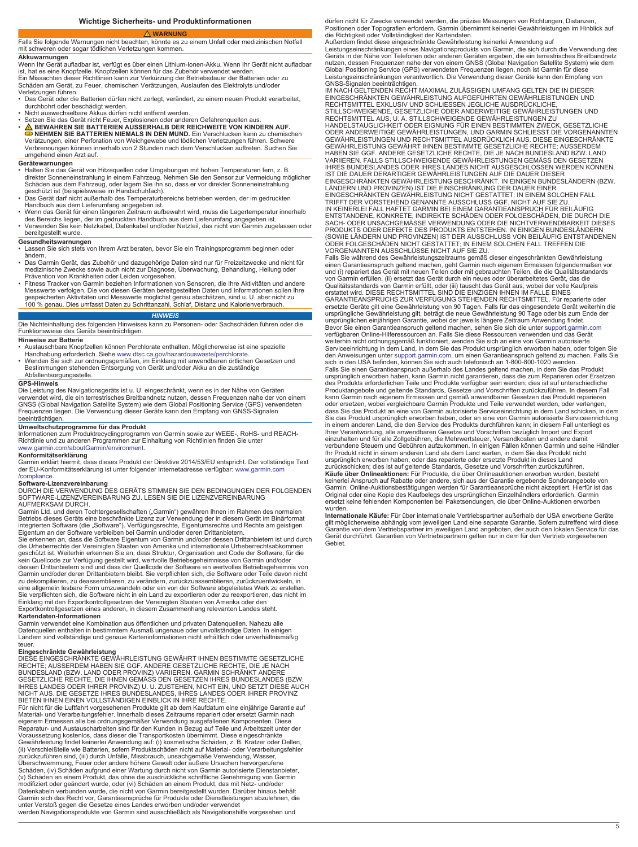**Wichtige Sicherheits- und Produktinformationen** 

## **WARNUNG**

<span id="page-4-0"></span>Falls Sie folgende Warnungen nicht beachten, könnte es zu einem Unfall oder medizinischen Notfall mit schweren oder sogar tödlichen Verletzungen kommen. **Akkuwarnungen**

Wenn Ihr Gerät aufladbar ist, verfügt es über einen Lithium-Ionen-Akku. Wenn Ihr Gerät nicht aufladbar ist, hat es eine Knopfzelle. Knopfzellen können für das Zubehör verwendet werden.<br>Ein Missachten dieser Richtlinien kann zur Verkürzung der Betriebsdauer der Batterien oder zu<br>Schäden am Gerät, zu Feuer, chemischen Verätzu

Verletzungen führen. • Das Gerät oder die Batterien dürfen nicht zerlegt, verändert, zu einem neuen Produkt verarbeitet,

- durchbohrt oder beschädigt werden. Nicht auswechselbare Akkus dürfen nicht entfernt werden.
- Setzen Sie das Gerät nicht Feuer, Explosionen oder anderen Gefahrenquellen aus.<br>
 A BEWAHREN SIE BATTERIEN AUSSERHALB DER REICHWEITE VON KINDERN AUF.<br>
 NEHMEN SIE BATTERIEN NIEMALS IN DEN MUND. Ein Verschlucken kann zu umgehend einen Arzt auf.

- **Gerätewarnungen** Halten Sie das Gerät von Hitzequellen oder Umgebungen mit hohen Temperaturen fern, z. B. direkter Sonneneinstrahlung in einem Fahrzeug. Nehmen Sie den Sensor zur Vermeidung möglicher Schäden aus dem Fahrzeug, oder lagern Sie ihn so, dass er vor direkter Sonneneinstrahlung<br>geschützt ist (beispielsweise im Handschuhfach).<br>• Das Gerät darf nicht außerhalb des Temperaturbereichs betrieben werden, der im g
- Handbuch aus dem Lieferumfang angegeben ist. Wenn das Gerät für einen längeren Zeitraum aufbewahrt wird, muss die Lagertemperatur innerhalb
- 
- des Bereichs liegen, der im gedruckten Handbuch aus dem Lieferumfang angegeben ist. Verwenden Sie kein Netzkabel, Datenkabel und/oder Netzteil, das nicht von Garmin zugelassen oder bereitgestellt wurde.

- **Gesundheitswarnungen** Lassen Sie sich stets von Ihrem Arzt beraten, bevor Sie ein Trainingsprogramm beginnen oder ändern.
- Das Garmin Gerät, das Zubehör und dazugehörige Daten sind nur für Freizeitzwecke und nicht für medizinische Zwecke sowie auch nicht zur Diagnose, Überwachung, Behandlung, Heilung oder Prävention von Krankheiten oder Leiden vorgesehen.
- Fitness Tracker von Garmin beziehen Informationen von Sensoren, die Ihre Aktivitäten und andere Messwerte verfolgen. Die von diesen Geräten bereitgestellten Daten und Informationen sollen Ihre<br>gespeicherten Aktivitäten und Messwerte möglichst genau abschätzen, sind u. U. aber nicht zu<br>100 % genau. Dies umfasst Daten

*HINWEIS* Die Nichteinhaltung des folgenden Hinweises kann zu Personen- oder Sachschäden führen oder die Funktionsweise des Geräts beeinträchtigen.

### **Hinweise zur Batterie**

- Austauschbare Knopfzellen können Perchlorate enthalten. Möglicherweise ist eine spezielle
- Handhabung erforderlich. Siehe [www.dtsc.ca.gov/hazardouswaste/perchlorate](http://www.dtsc.ca.gov/hazardouswaste/perchlorate).<br>• Wenden Sie sich zur ordnungsgemäßen, im Einklang mit anwendbaren örtlichen Gesetzen und<br>- Bestimmungen stehenden Entsorgung von Gerät und/ode Abfallentsorgungsstelle.

**GPS-Hinweis** Die Leistung des Navigationsgeräts ist u. U. eingeschränkt, wenn es in der Nähe von Geräten verwendet wird, die ein terrestrisches Breitbandnetz nutzen, dessen Frequenzen nahe der von einem GNSS (Global Navigation Satellite System) wie dem Global Positioning Service (GPS) verwendeten Frequenzen liegen. Die Verwendung dieser Geräte kann den Empfang von GNSS-Signalen beeinträchtigen.

**Umweltschutzprogramme für das Produkt**<br>Informationen zum Produktrecyclingprogramm von Garmin sowie zur WEEE-, RoHS- und REACH-<br>Richtlinie und zu anderen Programmen zur Einhaltung von Richtlinien finden Sie unter

# [www.garmin.com/aboutGarmin/environment](http://www.garmin.com/aboutGarmin/environment). **Konformitätserklärung**

Garmin erklärt hiermit, dass dieses Produkt der Direktive 2014/53/EU entspricht. Der vollständige Text der EU-Konformitätserklärung ist unter folgender Internetadresse verfügbar: [www.garmin.com](http://www.garmin.com/compliance) [/compliance](http://www.garmin.com/compliance).

**Software-Lizenzvereinbarung**<br>DURCH DIE VERWENDUNG DES GERÄTS STIMMEN SIE DEN BEDINGUNGEN DER FOLGENDEN<br>SOFTWARE-LIZENZVEREINBARUNG ZU. LESEN SIE DIE LIZENZVEREINBARUNG AUFMERKSAM DURCH.

Garmin Ltd. und deren Tochtergesellschaften ("Garmin") gewähren Ihnen im Rahmen des normalen<br>Betriebs dieses Geräts eine beschränkte Lizenz zur Verwendung der in diesem Gerät im Binärformat<br>integrierten Software (die "Soft

Eigentum an der Software verbleiben bei Garmin und/oder deren Drittanbietern.<br>Sie erkennen an, dass die Software Eigentum von Garmin und/oder dessen Drittanbietern ist und durch<br>die Urheberrechte der Vereinigten Staaten vo kein Quellcode zur Verfügung gestellt wird, wertvolle Betriebsgeheimnisse von Garmin und/oder<br>dessen Drittanbietern sind und dass der Quellcode der Software ein wertvolles Betriebsgeheimnis von<br>Garmin und/oder deren Dritta Sie verpflichten sich, die Software nicht in ein Land zu exportieren oder zu reexportieren, das nicht im<br>Einklang mit den Exportkontrollgesetzen der Vereinigten Staaten von Amerika oder den<br>Exportkontrollgesetzen eines and

### **Kartendaten-Informationen**

Garmin verwendet eine Kombination aus öffentlichen und privaten Datenquellen. Nahezu alle Datenquellen enthalten in bestimmtem Ausmaß ungenaue oder unvollständige Daten. In einigen Ländern sind vollständige und genaue Karteninformationen nicht erhältlich oder unverhältnismäßig teuer.

**Eingeschränkte Gewährleistung** DIESE EINGESCHRÄNKTE GEWÄHRLEISTUNG GEWÄHRT IHNEN BESTIMMTE GESETZLICHE RECHTE; AUSSERDEM HABEN SIE GGF. ANDERE GESETZLICHE RECHTE, DIE JE NACH<br>BUNDESLAND (BZW. LAND ODER PROVINZ) VARIIEREN. GARMIN SCHRÄNKT ANDERE<br>GESETZLICHE RECHTE, DIE IHNEN GEMÄSS DEN GESETZEN IHRES BUNDESLANDES (BZW.<br>IHRES NICHT AUS. DIE GESETZE IHRES BUNDESLANDES, IHRES LANDES ODER IHRER PROVINZ BIETEN IHNEN EINEN VOLLSTÄNDIGEN EINBLICK IN IHRE RECHTE.

Für nicht für die Luftfahrt vorgesehenen Produkte gilt ab dem Kaufdatum eine einjährige Garantie auf Material- und Verarbeitungsfehler. Innerhalb dieses Zeitraums repariert oder ersetzt Garmin nach eigenem Ermessen alle bei ordnungsgemäßer Verwendung ausgefallenen Komponenten. Diese Reparatur- und Austauscharbeiten sind für den Kunden in Bezug auf Teile und Arbeitszeit unter der Voraussetzung kostenlos, dass dieser die Transportkosten übernimmt. Diese eingeschränkte<br>Gewährleistung findet keinerlei Anwendung auf: (i) kosmetische Schäden, z. B. Kratzer oder Dellen,<br>(ii) Verschleißteile wie Batterien zurückzuführen sind, (iii) durch Unfälle, Missbrauch, unsachgemäße Verwendung, Wasser,<br>Überschwemmung, Feuer oder andere höhere Gewalt oder äußere Ursachen hervorgerufene<br>Schäden, (iv) Schäden aufgrund einer Wartung durch Garmin sich das Recht vor, Garantieansprüche für Produkte oder Dienstleistungen abzulehnen, die<br>unter Verstoß gegen die Gesetze eines Landes erworben und/oder verwendet<br>werden.Navigationsprodukte von Garmin sind ausschließ

dürfen nicht für Zwecke verwendet werden, die präzise Messungen von Richtungen, Distanzen, Positionen oder Topografien erfordern. Garmin übernimmt keinerlei Gewährleistungen im Hinblick auf die Richtigkeit oder Vollständigkeit der Kartendaten. Außerdem findet diese eingeschränkte Gewährleistung keinerlei Anwendung auf

Leistungseinschränkungen eines Navigationsprodukts von Garmin, die sich durch die Verwendung des<br>Geräts in der Nähe von Telefonen oder anderen Geräten ergeben, die ein terrestrisches Breitbandnetz<br>nutzen, dessen Frequenzen Global Positioning Service (GPS) verwendeten Frequenzen liegen, noch ist Garmin für diese Leistungseinschränkungen verantwortlich. Die Verwendung dieser Geräte kann den Empfang von GNSS-Signalen beeinträchtigen. IM NACH GELTENDEN RECHT MAXIMAL ZULÄSSIGEN UMFANG GELTEN DIE IN DIESER

EINGESCHRÄNKTEN GEWÄHRLEISTUNG AUFGEFÜHRTEN GEWÄHRLEISTUNGEN UND RECHTSMITTEL EXKLUSIV UND SCHLIESSEN JEGLICHE AUSDRÜCKLICHE, STILLSCHWEIGENDE, GESETZLICHE ODER ANDERWEITIGE GEWÄHRLEISTUNGEN UND<br>RECHTSMITTEL AUS, U. A. STILLSCHWEIGENDE GEWÄHRLEISTUNGEN ZU<br>HANDELSTAUGLICHKEIT ODER EIGNUNG FÜR EINEN BESTIMMTEN ZWECK, GESETZLICHE ODER ANDERWEITIGE GEWÄHRLEISTUNGEN, UND GARMIN SCHLIESST DIE VORGENANNTEN<br>GEWÄHRLEISTUNGEN UND RECHTSMITTEL AUSDRÜCKLICH AUS. DIESE EINGESCHRÄNKTE<br>GEWÄHRLEISTUNG GEWÄHRT IHNEN BESTIMMTE GESETZLICHE RECHTE; AUSSERDEM<br>HABEN VARIIEREN. FALLS STILLSCHWEIGENDE GEWÄHRLEISTUNGEN GEMÄSS DEN GESETZEN IHRES BUNDESLANDES ODER IHRES LANDES NICHT AUSGESCHLOSSEN WERDEN KÖNNEN, IST DIE DAUER DERARTIGER GEWÄHRLEISTUNGEN AUF DIE DAUER DIESER<br>EINGESCHRÄNKTEN GEWÄHRLEISTUNG BESCHRÄNKT. IN EINIGEN BUNDESLÄNDERN (BZW.<br>LÄNDERN UND PROVINZEN) IST DIE EINSCHRÄNKUNG DER DAUER EINER<br>EINGESCHRÄNKTEN GEWÄHRLE

TRIFFT DER VORSTEHEND GENANNTE AUSSCHLUSS GGF. NICHT AUF SIE ZU.<br>IN KEINERLEI FALL HAFTET GARMIN BEI EINEM GARANTIEANSPRUCH FÜR BEILÄUFIG<br>ENTSTANDENE, KONKRETE, INDIREKTE SCHÄDEN ODER FOLGESCHÄDEN, DIE DURCH DIE<br>SACH- ODER (SOWIE LÄNDERN UND PROVINZEN) IST DER AUSSCHLUSS VON BEILÄUFIG ENTSTANDENEN<br>ODER FOLGESCHÄDEN NICHT GESTATTET; IN EINEM SOLCHEN FALL TREFFEN DIE<br>VORGENANNTEN AUSSCHLÜSSE NICHT AUF SIE ZU.<br>Falls Sie während des Gewährleistu

von Garmin erfüllen, (ii) ersetzt das Gerät durch ein neues oder überarbeitetes Gerät, das die<br>Qualitätsstandards von Garmin erfüllt, oder (iii) tauscht das Gerät aus, wobei der volle Kaufpreis<br>erstattet wird. DIESE RECHTS GARANTIEANSPRUCHS ZUR VERFÜGUNG STEHENDEN RECHTSMITTEL. Für reparierte oder ersetzte Geräte gilt eine Gewährleistung von 90 Tagen. Falls für das eingesendete Gerät weiterhin die<br>ursprüngliche Gewährleistung gilt, beträgt die neue Gewährleistung 90 Tage oder bis zum Ende der<br>ursprünglichen einjähri verfügbaren Online-Hilferessourcen an. Falls Sie diese Ressourcen verwenden und das Gerät<br>weiterhin nicht ordnungsgemäß funktioniert, wenden Sie sich an eine von Garmin autorisierte<br>Serviceeinrichtung in dem Land, in dem S Falls Sie einen Garantieanspruch außerhalb des Landes geltend machen, in dem Sie das Produkt ursprünglich erworben haben, kann Garmin nicht garantieren, dass die zum Reparieren oder Ersetzen<br>des Produkts erforderlichen Teile und Produkte verfügbar sein werden; dies ist auf unterschiedliche<br>Produktangebote und gelt kann Garmin nach eigenem Ermessen und gemäß anwendbaren Gesetzen das Produkt reparieren oder ersetzen, wobei vergleichbare Garmin Produkte und Teile verwendet werden, oder verlangen,

dass Sie das Produkt an eine von Garmin autorisierte Serviceeinrichtung in dem Land schicken, in dem<br>Sie das Produkt ursprünglich erworben haben, oder an eine von Garmin autorisierte Serviceeinrichtung<br>in einem anderen Lan Ihrer Verantwortung, alle anwendbaren Gesetze und Vorschriften bezüglich Import und Export einzuhalten und für alle Zollgebühren, die Mehrwertsteuer, Versandkosten und andere damit verbundene Steuern und Gebühren aufzukommen. In einigen Fällen können Garmin und seine Händler Ihr Produkt nicht in einem anderen Land als dem Land warten, in dem Sie das Produkt nicht ursprünglich erworben haben, oder das reparierte oder ersetzte Produkt in dieses Land zurückschicken; dies ist auf geltende Standards, Gesetze und Vorschriften zurückzuführen.

**Käufe über Onlineaktionen:** Für Produkte, die über Onlineauktionen erworben wurden, besteht keinerlei Anspruch auf Rabatte oder andere, sich aus der Garantie ergebende Sonderangebote von<br>Garmin. Online-Auktionsbestätigungen werden für Garantieansprüche nicht akzeptiert. Hierfür ist das<br>Original oder eine Kopie de ersetzt keine fehlenden Komponenten bei Paketsendungen, die über Online-Auktionen erworben wurden.

Internationale Käufe: Für über internationale Vertriebspartner außerhalb der USA erworbene Geräte<br>gilt möglicherweise abhängig vom jeweiligen Land eine separate Garantie. Sofern zutreffend wird diese<br>Garantie von dem Vertr **Gebiet**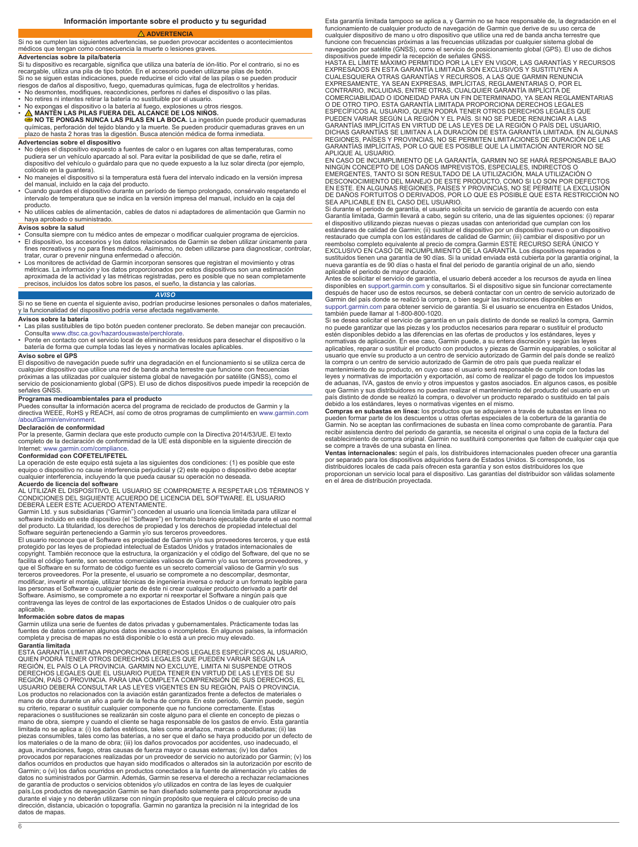### **ADVERTENCIA**

### <span id="page-5-0"></span>Si no se cumplen las siguientes advertencias, se pueden provocar accidentes o acontecimientos médicos que tengan como consecuencia la muerte o lesiones graves. **Advertencias sobre la pila/batería**

Si tu dispositivo es recargable, significa que utiliza una batería de ión-litio. Por el contrario, si no es recargable, utiliza una pila de tipo botón. En el accesorio pueden utilizarse pilas de botón.<br>Si no se siguen estas indicaciones, puede reducirse el ciclo vital de las pilas o se pueden producir<br>riesgos de daños al disposi

- 
- No desmontes, modifiques, reacondiciones, perfores ni dañes el dispositivo o las pilas. No retires ni intentes retirar la batería no sustituible por el usuario.
- 
- No expongas el dispositivo o la batería al fuego, explosiones u otros riesgos.<br>● **△ MANTÉN LAS PILAS FUERA DEL ALCANCE DE LOS NIÑOS.**<br>● N**O TE PONGAS NUNCA LAS PILAS EN LA BOCA**. La ingestión puede producir quemaduras<br> plazo de hasta 2 horas tras la digestión. Busca atención médica de forma inmediata.

### **Advertencias sobre el dispositivo**

• No dejes el dispositivo expuesto a fuentes de calor o en lugares con altas temperaturas, como pudiera ser un vehículo aparcado al sol. Para evitar la posibilidad de que se dañe, retira el dispositivo del vehículo o guárdalo para que no quede expuesto a la luz solar directa (por ejemplo, colócalo en la guantera).

- No manejes el dispositivo si la temperatura está fuera del intervalo indicado en la versión impresa
- del manual, incluido en la caja del producto.<br>∙ Cuando guardes el dispositivo durante un período de tiempo prolongado, consérvalo respetando el<br>≀intervalo de temperatura que se indica en la versión impresa del manual, inc
- producto. No utilices cables de alimentación, cables de datos ni adaptadores de alimentación que Garmin no haya aprobado o suministrado.

- **Avisos sobre la salud** Consulta siempre con tu médico antes de empezar o modificar cualquier programa de ejercicios.
- El dispositivo, los accesorios y los datos relacionados de Garmin se deben utilizar únicamente para fines recreativos y no para fines médicos. Asimismo, no deben utilizarse para diagnosticar, controlar, tratar, curar o prevenir ninguna enfermedad o afección. • Los monitores de actividad de Garmin incorporan sensores que registran el movimiento y otras
- métricas. La información y los datos proporcionados por estos dispositivos son una estimación aproximada de la actividad y las métricas registradas, pero es posible que no sean completamente precisos, incluidos los datos sobre los pasos, el sueño, la distancia y las calorías.

### *AVISO*

Si no se tiene en cuenta el siguiente aviso, podrían producirse lesiones personales o daños materiales,<br>y la funcionalidad del dispositivo podría verse afectada negativamente.

### **Avisos sobre la batería**

- Las pilas sustituibles de tipo botón pueden contener preclorato. Se deben manejar con precaución. Consulta [www.dtsc.ca.gov/hazardouswaste/perchlorate](http://www.dtsc.ca.gov/hazardouswaste/perchlorate).
- Ponte en contacto con el servicio local de eliminación de residuos para desechar el dispositivo o la batería de forma que cumpla todas las leyes y normativas locales aplicables.

### **Aviso sobre el GPS**

El dispositivo de navegación puede sufrir una degradación en el funcionamiento si se utiliza cerca de cualquier dispositivo que utilice una red de banda ancha terrestre que funcione con frecuencias próximas a las utilizadas por cualquier sistema global de navegación por satélite (GNSS), como el<br>servicio de posicionamiento global (GPS). El uso de dichos dispositivos puede impedir la recepción de señales GNSS.

**Programas medioambientales para el producto**<br>Puedes consultar la información acerca del programa de reciclado de productos de Garmin y la<br>directiva WEEE, RoHS y REACH, así como de otros programas de cumplimiento en www.ga [/aboutGarmin/environment](http://www.garmin.com/aboutGarmin/environment).

### **Declaración de conformidad**

Por la presente, Garmin declara que este producto cumple con la Directiva 2014/53/UE. El texto completo de la declaración de conformidad de la UE está disponible en la siguiente dirección de Internet: [www.garmin.com/compliance.](http://www.garmin.com/compliance)

### **Conformidad con COFETEL/IFETEL**

La operación de este equipo está sujeta a las siguientes dos condiciones: (1) es posible que este<br>equipo o dispositivo no cause interferencia perjudicial y (2) este equipo o dispositivo debe aceptar<br>cualquier interferencia **Acuerdo de licencia del software**

AL UTILIZAR EL DISPOSITIVO, EL USUARIO SE COMPROMETE A RESPETAR LOS TÉRMINOS Y CONDICIONES DEL SIGUIENTE ACUERDO DE LICENCIA DEL SOFTWARE. EL USUARIO DEBERÁ LEER ESTE ACUERDO ATENTAMENTE.

Garmin Ltd. y sus subsidiarias ("Garmin") conceden al usuario una licencia limitada para utilizar el<br>software incluido en este dispositivo (el "Software") en formato binario ejecutable durante el uso normal<br>del producto. L Software seguirán perteneciendo a Garmin y/o sus terceros proveedores. El usuario reconoce que el Software es propiedad de Garmin y/o sus proveedores terceros, y que está

protegido por las leyes de propiedad intelectual de Estados Unidos y tratados internacionales de<br>copyright. También reconoce que la estructura, la organización y el código del Software, del que no se<br>facilita el código fue terceros proveedores. Por la presente, el usuario se compromete a no descompilar, desmontar, modificar, invertir el montaje, utilizar técnicas de ingeniería inversa o reducir a un formato legible para las personas el Software o cualquier parte de éste ni crear cualquier producto derivado a partir del<br>Software. Asimismo, se compromete a no exportar ni reexportar el Software a ningún país que<br>contravenga las leyes de cont aplicable.

### **Información sobre datos de mapas**

Garmin utiliza una serie de fuentes de datos privadas y gubernamentales. Prácticamente todas las<br>fuentes de datos contienen algunos datos inexactos o incompletos. En algunos países, la información<br>completa y precisa de map **Garantía limitada**

ESTA GARANTÍA LIMITADA PROPORCIONA DERECHOS LEGALES ESPECÍFICOS AL USUARIO, QUIEN PODRÁ TENER OTROS DERECHOS LEGALES QUE PUEDEN VARIAR SEGÚN LA REGIÓN, EL PAÍS O LA PROVINCIA. GARMIN NO EXCLUYE, LIMITA NI SUSPENDE OTROS DERECHOS LEGALES QUE EL USUARIO PUEDA TENER EN VIRTUD DE LAS LEYES DE SU REGIÓN, PAÍS O PROVINCIA. PARA UNA COMPLETA COMPRENSIÓN DE SUS DERECHOS, EL<br>USUARIO DEBERÁ CONSULTAR LAS LEYES VIGENTES EN SU REGIÓN, PAÍS O PROVINCIA. Los productos no relacionados con la aviación están garantizados frente a defectos de materiales o mano de obra durante un año a partir de la fecha de compra. En este periodo, Garmin puede, según su criterio, reparar o sustituir cualquier componente que no funcione correctamente. Estas reparaciones o sustituciones se realizarán sin coste alguno para el cliente en concepto de piezas o<br>mano de obra, siempre y cuando el cliente se haga responsable de los gastos de envío. Esta garantía<br>limitada no se aplica piezas consumibles, tales como las baterías, a no ser que el daño se haya producido por un defecto de los materiales o de la mano de obra; (iii) los daños provocados por accidentes, uso inadecuado, el agua, inundaciones, fuego, otras causas de fuerza mayor o causas externas; (iv) los daños provocados por reparaciones realizadas por un proveedor de servicio no autorizado por Garmin; (v) los daños ocurridos en productos que hayan sido modificados o alterados sin la autorización por escrito de Garmin; o (vi) los daños ocurridos en productos conectados a la fuente de alimentación y/o cables de datos no suministrados por Garmin. Además, Garmin se reserva el derecho a rechazar reclamaciones de garantía de productos o servicios obtenidos y/o utilizados en contra de las leyes de cualquier país.Los productos de navegación Garmin se han diseñado solamente para proporcionar ayuda<br>durante el viaje y no deberán utilizarse con ningún propósito que requiera el cálculo preciso de una<br>dirección, distancia, ubicación datos de mapas.

Esta garantía limitada tampoco se aplica a, y Garmin no se hace responsable de, la degradación en el funcionamiento de cualquier producto de navegación de Garmin que derive de su uso cerca de cualquier dispositivo de mano u otro dispositivo que utilice una red de banda ancha terrestre que funcione con frecuencias próximas a las frecuencias utilizadas por cualquier sistema global de navegación por satélite (GNSS), como el servicio de posicionamiento global (GPS). El uso de dichos

dispositivos puede impedir la recepción de señales GNSS. HASTA EL LÍMITE MÁXIMO PERMITIDO POR LA LEY EN VIGOR, LAS GARANTÍAS Y RECURSOS EXPRESADOS EN ESTA GARANTIA LIMITADA SON EXCLUSIVOS Y SUSTITUYEN A<br>CUALESQUIERA OTRAS GARANTÍAS Y RECURSOS, A LAS QUE GARMIN RENUNCIA<br>EXPRESAMENTE, YA SEAN EXPRESAS, IMPLÍCITAS, REGLAMENTARIAS O, POR EL<br>CONTRARIO, INCLUIDA COMERCIABILIDAD O IDONEIDAD PARA UN FIN DETERMINADO, YA SEAN REGLAMENTARIAS<br>O DE OTRO TIPO. ESTA GARANTÍA LIMITADA PROPORCIONA DERECHOS LEGALES<br>ESPECÍFICOS AL USUARIO, QUIEN PODRÁ TENER OTROS DERECHOS LEGALES QUE<br>PUEDEN VA DICHAS GARANTIAS SE LIMITAN A LA DURACIÓN DE ESTA GARANTIA LIMITADA. EN ALGUNAS<br>REGIONES, PÁÍSES Y PROVINCIAS, NO SE PERMITEN LIMITACIONES DE DURACIÓN DE LAS<br>GARANTÍAS IMPLÍCITAS, POR LO QUE ES POSIBLE QUE LA LIMITACIÓN AN APLIQUE AL USUARIO.

EN CASO DE INCUMPLIMIENTO DE LA GARANTÍA, GARMIN NO SE HARÁ RESPONSABLE BAJO NINGÚN CONCEPTO DE LOS DAÑOS IMPREVISTOS, ESPECIALES, INDIRECTOS O EMERGENTES, TANTO SI SON RESULTADO DE LA UTILIZACIÓN, MALA UTILIZACIÓN O<br>DESCONOCIMIENTO DEL MANEJO DE ESTE PRODUCTO, COMO SI LO SON POR DEFECTOS<br>EN ESTE. EN ALGUNAS REGIONES, PAÍSES Y PROVINCIAS, NO SE PERMITE LA EXCLUSIÓ

SEA APLICABLE EN EL CASO DEL USUARIO. Si durante el periodo de garantía, el usuario solicita un servicio de garantía de acuerdo con esta Garantía limitada, Garmin llevará a cabo, según su criterio, una de las siguientes opciones: (i) reparar<br>el dispositivo utilizando piezas nuevas o piezas usadas con anterioridad que cumplan con los<br>estándares de calidad de reembolso completo equivalente al precio de compra.Garmin ESTE RECURSO SERA UNICO Y<br>EXCLUSIVO EN CASO DE INCUMPLIMIENTO DE LA GARANTÍA. Los dispositivos reparados o<br>sustituidos tienen una garantía de 90 días. Si la unidad nueva garantía es de 90 días o hasta el final del periodo de garantía original de un año, siendo aplicable el periodo de mayor duración.

Antes de solicitar el servicio de garantía, el usuario deberá acceder a los recursos de ayuda en línea<br>disponibles en [support.garmin.com](http://www.support.garmin.com) y consultarlos. Si el dispositivo sigue sin funcionar correctamente<br>después de hacer [support.garmin.com](http://www.support.garmin.com) para obtener servicio de garantía. Si el usuario se encuentra en Estados Unidos, también puede llamar al 1-800-800-1020.

Si se desea solicitar el servicio de garantía en un país distinto de donde se realizó la compra, Garmin no puede garantizar que las piezas y los productos necesarios para reparar o sustituir el producto estén disponibles debido a las diferencias en las ofertas de productos y los estándares, leyes y normativas de aplicación. En ese caso, Garmin puede, a su entera discreción y según las leyes aplicables, reparar o sustituir el producto con productos y piezas de Garmin equiparables, o solicitar al<br>usuario que envíe su producto a un centro de servicio autorizado de Garmin del país donde se realizó<br>la compra o un

mantenimiento de su producto, en cuyo caso el usuario será responsable de cumplir con todas las leyes y normativas de importación y exportación, así como de realizar el pago de todos los impuestos<br>de aduanas, IVA, gastos de envío y otros impuestos y gastos asociados. En algunos casos, es posible<br>que Garmin y sus dist país distinto de donde se realizó la compra, o devolver un producto reparado o sustituido en tal país debido a los estándares, leyes o normativas vigentes en el mismo.

Compras en subastas en línea: los productos que se adquieren a través de subastas en línea no<br>pueden formar parte de los descuentos u otras ofertas especiales de la cobertura de la garantía de<br>Garmin. No se aceptan las con establecimiento de compra original. Garmin no sustituirá componentes que falten de cualquier caja que se compre a través de una subasta en línea.

**Ventas internacionales:** según el país, los distribuidores internacionales pueden ofrecer una garantía<br>por separado para los dispositivos adquiridos fuera de Estados Unidos. Si corresponde, los<br>distribuidores locales de c proporcionan un servicio local para el dispositivo. Las garantías del distribuidor son válidas solamente en el área de distribución proyectada.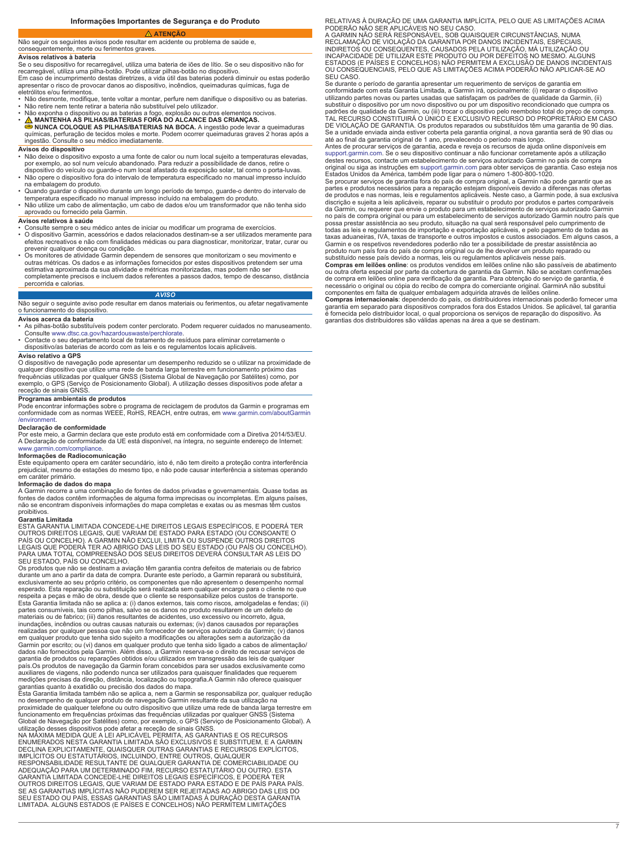**Informações Importantes de Segurança e do Produto** 

# <span id="page-6-0"></span> **ATENÇÃO**

### Não seguir os seguintes avisos pode resultar em acidente ou problema de saúde e, consequentemente, morte ou ferimentos graves.

## **Avisos relativos à bateria**

Se o seu dispositivo for recarregável, utiliza uma bateria de iões de lítio. Se o seu dispositivo não for recarregável, utiliza uma pilha-botão. Pode utilizar pilhas-botão no dispositivo.

Em caso de incumprimento destas diretrizes, a vida útil das baterias poderá diminuir ou estas poderão apresentar o risco de provocar danos ao dispositivo, incêndios, queimaduras químicas, fuga de

eletrólitos e/ou ferimentos. • Não desmonte, modifique, tente voltar a montar, perfure nem danifique o dispositivo ou as baterias.

- 
- Não retire nem tente retirar a bateria não substituível pelo utilizador.<br>• Não exponha o dispositivo ou as baterias a fogo, explosão ou outros elementos nocivos.<br>• <u>∧ M</u> MANTENHA AS PILHAS/BATERIAS FORA DO ALCANCE DAS
- **NUNCA COLOQUE AS PILHAS/BATERIAS NA BOCA.** A ingestão pode levar a queimaduras químicas, perfuração de tecidos moles e morte. Podem ocorrer queimaduras graves 2 horas após a ingestão. Consulte o seu médico imediatamente.

### **Avisos do dispositivo**

- Não deixe o dispositivo exposto a uma fonte de calor ou num local sujeito a temperaturas elevadas, por exemplo, ao sol num veículo abandonado. Para reduzir a possibilidade de danos, retire o dispositivo do veículo ou guarde-o num local afastado da exposição solar, tal como o porta-luvas.
- Não opere o dispositivo fora do intervalo de temperatura especificado no manual impresso incluído
- na embalagem do produto.<br>▪ Quando guardar o dispositivo durante um longo período de tempo, guarde-o dentro do intervalo de<br>▪ temperatura especificado no manual impresso incluído na embalagem do produto.
- Não utilize um cabo de alimentação, um cabo de dados e/ou um transformador que não tenha sido aprovado ou fornecido pela Garmin.

### **Avisos relativos à saúde**

- Consulte sempre o seu médico antes de iniciar ou modificar um programa de exercícios. O dispositivo Garmin, acessórios e dados relacionados destinam-se a ser utilizados meramente para efeitos recreativos e não com finalidades médicas ou para diagnosticar, monitorizar, tratar, curar ou
- prevenir qualquer doença ou condição. Os monitores de atividade Garmin dependem de sensores que monitorizam o seu movimento e outras métricas. Os dados e as informações fornecidos por estes dispositivos pretendem ser uma estimativa aproximada da sua atividade e métricas monitorizadas, mas podem não ser completamente precisos e incluem dados referentes a passos dados, tempo de descanso, distância percorrida e calorias.

### *AVISO*

Não seguir o seguinte aviso pode resultar em danos materiais ou ferimentos, ou afetar negativamente o funcionamento do dispositivo.

### **Avisos acerca da bateria**

- As pilhas-botão substituíveis podem conter perclorato. Podem requerer cuidados no manuseamento. Consulte [www.dtsc.ca.gov/hazardouswaste/perchlorate](http://www.dtsc.ca.gov/hazardouswaste/perchlorate).
- Contacte o seu departamento local de tratamento de resíduos para eliminar corretamente o dispositivo/as baterias de acordo com as leis e os regulamentos locais aplicáveis.

Aviso relativo a GPS<br>O dispositivo de navegação pode apresentar um desempenho reduzido se o utilizar na proximidade de<br>Qualquer dispositivo que utilize uma rede de banda larga terrestre em funcionamento próximo das<br>frequên

## **Programas ambientais de produtos**

Pode encontrar informações sobre o programa de reciclagem de produtos da Garmin e programas em conformidade com as normas WEEE, RoHS, REACH, entre outras, em [www.garmin.com/aboutGarmin](http://www.garmin.com/aboutGarmin/environment) [/environment.](http://www.garmin.com/aboutGarmin/environment)

### **Declaração de conformidade**

Por este meio, a Garmin declara que este produto está em conformidade com a Diretiva 2014/53/EU. A Declaração de conformidade da UE está disponível, na íntegra, no seguinte endereço de Internet: [www.garmin.com/compliance](http://www.garmin.com/compliance).

**Informações de Radiocomunicação**<br>Este equipamento opera em caráter secundário, isto é, não tem direito a proteção contra interferência prejudicial, mesmo de estações do mesmo tipo, e não pode causar interferência a sistemas operando em caráter primário.

### **Informação de dados do mapa**

A Garmin recorre a uma combinação de fontes de dados privadas e governamentais. Quase todas as fontes de dados contêm informações de alguma forma imprecisas ou incompletas. Em alguns países, não se encontram disponíveis informações do mapa completas e exatas ou as mesmas têm custos proibitivos.

### **Garantia Limitada**

ESTA GARANTIA LIMITADA CONCEDE-LHE DIREITOS LEGAIS ESPECÍFICOS, E PODERÁ TER<br>OUTROS DIREITOS LEGAIS, QUE VARIAM DE ESTADO PARA ESTADO (OU CONSOANTE O<br>PAÍS OU CONCELHO). A GARMIN NÃO EXCLUI, LIMITA OU SUSPENDE OUTROS DIREIT SEU ESTADO, PAÍS OU CONCELHO.

Os produtos que não se destinam a aviação têm garantia contra defeitos de materiais ou de fabrico<br>durante um ano a partir da data de compra. Durante este período, a Garmin reparará ou substituirá,<br>exclusivamente ao seu pró esperado. Esta reparação ou substituição será realizada sem qualquer encargo para o cliente no que respeita a peças e mão de obra, desde que o cliente se responsabilize pelos custos de transporte. Esta Garantia limitada não se aplica a: (i) danos externos, tais como riscos, amolgadelas e fendas; (ii) partes consumíveis, tais como pilhas, salvo se os danos no produto resultarem de um defeito de materiais ou de fabrico; (iii) danos resultantes de acidentes, uso excessivo ou incorreto, água, inundações, incêndios ou outras causas naturais ou externas; (iv) danos causados por reparações realizadas por qualquer pessoa que não um fornecedor de serviços autorizado da Garmin; (v) danos<br>em qualquer produto que tenha sido sujeito a modificações ou alterações sem a autorização da<br>Garmin por escrito; ou (vi) dano país.Os produtos de navegação da Garmin foram concebidos para ser usados exclusivamente como auxiliares de viagens, não podendo nunca ser utilizados para quaisquer finalidades que requerem medições precisas da direção, distância, localização ou topografia.A Garmin não oferece quaisquer garantias quanto à exatidão ou precisão dos dados do mapa.

Esta Garantia limitada também não se aplica a, nem a Garmin se responsabiliza por, qualquer redução no desempenho de qualquer produto de navegação Garmin resultante da sua utilização na proximidade de qualquer telefone ou outro dispositivo que utilize uma rede de banda larga terrestre em funcionamento em frequências próximas das frequências utilizadas por qualquer GNSS (Sistema

Global de Navegação por Satélites) como, por exemplo, o GPS (Serviço de Posicionamento Global). A<br>utilização desses dispositivos pode afetar a receção de sinais GNSS.<br>NA MÁXIMA MEDIDA QUE A LEI APLICÁVEL PERMITA, AS GARANT

IMPLÍCITOS OU ESTATUTÁRIOS, INCLUINDO, ENTRE OUTROS, QUALQUER<br>RESPONSABILIDADE RESULTANTE DE QUALQUER GARANTIA DE COMERCIABILIDADE OU<br>ADEQUAÇÃO PARA UM DETERMINADO FIM, RECURSO ESTATUTÁRIO OU OUTRO. ESTA<br>GARANTIA LIMITADA OUTROS DIREITOS LEGAIS, QUE VARIAM DE ESTADO PARA ESTADO E DE PAÍS PARA PAÍS. SE AS GARANTIAS IMPLÍCITAS NÃO PUDEREM SER REJEITADAS AO ABRIGO DAS LEIS DO SEU ESTADO OU PAÍS, ESSAS GARANTIAS SÃO LIMITADAS À DURAÇÃO DESTA GARANTIA LIMITADA. ALGUNS ESTADOS (E PAÍSES E CONCELHOS) NÃO PERMITEM LIMITAÇÕES

RELATIVAS À DURAÇÃO DE UMA GARANTIA IMPLÍCITA, PELO QUE AS LIMITAÇÕES ACIMA PODERÃO NÃO SER APLICÁVEIS NO SEU CASO.

A GARMIN NÃO SERA RESPONSÁVEL, SOB QUAISQUER CIRCUNSTÂNCIAS, NUMA<br>RECLAMAÇÃO DE VIOLAÇÃO DA GARANTIA POR DANOS INCIDENTAIS, ESPECIAIS,<br>INDIRETOS OU CONSEQUENTES, CAUSADOS PELA UTILIZAÇÃO, MÁ UTILIZAÇÃO OU INCAPACIDADE DE UTILIZAR ESTE PRODUTO OU POR DEFEITOS NO MESMO. ALGUNS ESTADOS (E PAÍSES E CONCELHOS) NÃO PERMITEM A EXCLUSÃO DE DANOS INCIDENTAIS OU CONSEQUENCIAIS, PELO QUE AS LIMITAÇÕES ACIMA PODERÃO NÃO APLICAR-SE AO SEU CASO.

Se durante o período de garantia apresentar um requerimento de serviços de garantia em conformidade com esta Garantia Limitada, a Garmin irá, opcionalmente: (i) reparar o dispositivo utilizando partes novas ou partes usadas que satisfaçam os padrões de qualidade da Garmin, (ii) substituir o dispositivo por um novo dispositivo ou por um dispositivo recondicionado que cumpra os padrões de qualidade da Garmin, ou (iii) trocar o dispositivo pelo reembolso total do preço de compra.<br>TAL RECURSO CONSTITUIRÁ O ÚNICO E EXCLUSIVO RECURSO DO PROPRIETÁRIO EM CASO<br>DE VIOLAÇÃO DE GARANTIA. Os produtos repara até ao final da garantia original de 1 ano, prevalecendo o período mais longo. Antes de procurar serviços de garantia, aceda e reveja os recursos de ajuda online disponíveis em

[support.garmin.com.](http://www.support.garmin.com) Se o seu dispositivo continuar a não funcionar corretamente após a utilização destes recursos, contacte um estabelecimento de serviços autorizado Garmin no país de compra original ou siga as instruções em [support.garmin.com](http://www.support.garmin.com) para obter serviços de garantia. Caso esteja nos

Estados Unidos da América, também pode ligar para o número 1-800-800-1020.<br>Se procurar serviços de garantia fora do país de compra original, a Garmin não pode garantir que as<br>partes e produtos necessários para a reparação discrição e sujeita a leis aplicáveis, reparar ou substituir o produto por produtos e partes comparáveis da Garmin, ou requerer que envie o produto para um estabelecimento de serviços autorizado Garmin no país de compra original ou para um estabelecimento de serviços autorizado Garmin noutro país que<br>possa prestar assistência ao seu produto, situação na qual será responsável pelo cumprimento de<br>todas as leis e regulament Garmin e os respetivos revendedores poderão não ter a possibilidade de prestar assistência ao produto num país fora do país de compra original ou de lhe devolver um produto reparado ou substituído nesse país devido a normas, leis ou regulamentos aplicáveis nesse país.

**Compras em leilões online**: os produtos vendidos em leilões online não são passíveis de abatimento ou outra oferta especial por parte da cobertura de garantia da Garmin. Não se aceitam confirmações de compra em leilões online para verificação da garantia. Para obtenção do serviço de garantia, é<br>necessário o original ou cópia do recibo de compra do comerciante original. GarminA não substitui<br>componentes em falta de qu

garantia em separado para dispositivos comprados fora dos Estados Unidos. Se aplicável, tal garantia<br>é fornecida pelo distribuidor local, o qual proporciona os serviços de reparação do dispositivo. As<br>garantias dos distrib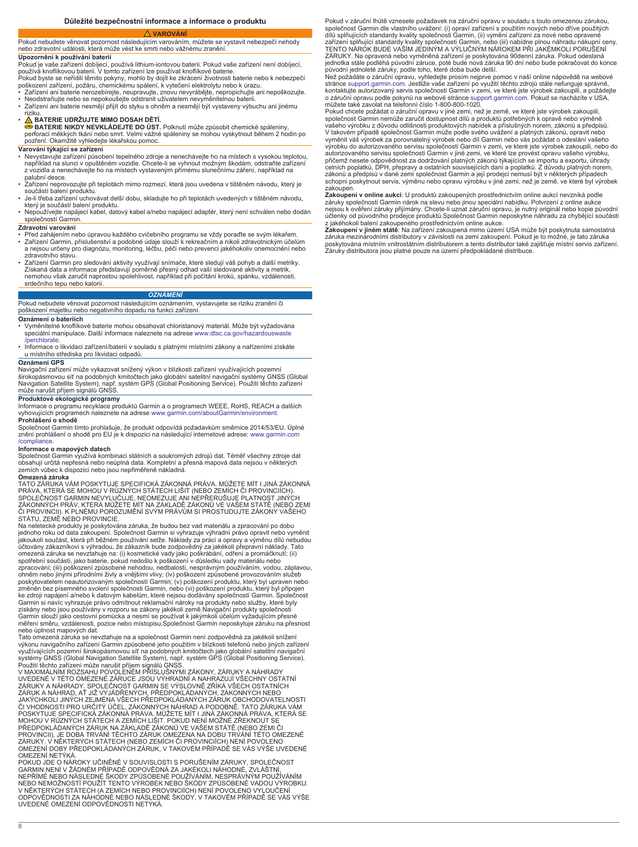### **VAROVÁNÍ**

<span id="page-7-0"></span>Pokud nebudete věnovat pozornost následujícím varováním, můžete se vystavit nebezpečí nehody nebo zdravotní události, která může vést ke smrti nebo vážnému zranění. **Upozornění k používání baterií**

Pokud je vaše zařízení dobíjecí, používá lithium-iontovou baterii. Pokud vaše zařízení není dobíjecí,<br>používá knofiľkovou baterii. V tomto zařízení Ize používat knoflíkové baterie.<br>Pokud byste se neřídili těmito pokyny, mo

- 
- Zařízení ani baterie nerozebírejte, neupravujte, znovu nevyrábějte, nepropichujte ani nepoškozujte. Neodstraňujte nebo se nepokoušejte odstranit uživatelem nevyměnitelnou baterii.
- Zařízení ani baterie nesmějí přijít do styku s ohněm a nesmějí být vystaveny výbuchu ani jinému

# riziku. • **BATERIE UDRŽUJTE MIMO DOSAH DĚTÍ.**

**BATERIE NIKDY NEVKLÁDEJTE DO ÚST.** Polknutí může způsobit chemické spáleniny, perforaci měkkých tkání nebo smrt. Velmi vážné spáleniny se mohou vyskytnout během 2 hodin po pozření. Okamžitě vyhledejte lékařskou pomoc.

# **Varování týkající se zařízení**

- Nevystavujte zařízení působení tepelného zdroje a nenechávejte ho na místech s vysokou teplotou,<br>například na slunci v opuštěném vozidle. Chcete-li se vyhnout možným škodám, odstraňte zařízení<br>z vozidla a nenechávejte ho palubní desce.
- Zařízení neprovozujte při teplotách mimo rozmezí, která jsou uvedena v tištěném návodu, který je součástí balení produktu.
- Je-li třeba zařízení uchovávat delší dobu, skladujte ho při teplotách uvedených v tištěném návodu, který je součástí balení produktu. • Nepoužívejte napájecí kabel, datový kabel a/nebo napájecí adaptér, který není schválen nebo dodán
- společností Garmin.

- **Zdravotní varování** Před zahájením nebo úpravou každého cvičebního programu se vždy poraďte se svým lékařem.
- Zařízení Garmin, příslušenství a podobné údaje slouží k rekreačním a nikoli zdravotnickým účelům a nejsou určeny pro diagnózu, monitoring, léčbu, péči nebo prevenci jakéhokoliv onemocnění nebo zdravotního stavu.
- Zařízení Garmin pro sledování aktivity využívají snímače, které sledují váš pohyb a další metriky. Získaná data a informace představují poměrně přesný odhad vaší sledované aktivity a metrik, nemohou však zaručit naprostou spolehlivost, například při počítání kroků, spánku, vzdálenosti, srdečního tepu nebo kalorií.

### *OZNÁMENÍ*

Pokud nebudete věnovat pozornost následujícím oznámením, vystavujete se riziku zranění či poškození majetku nebo negativního dopadu na funkci zařízení.

### **Oznámení o bateriích**

- Vyměnitelné knoflíkové baterie mohou obsahovat chloristanový materiál. Může být vyžadována speciální manipulace. Další informace naleznete na adrese [www.dtsc.ca.gov/hazardouswaste](http://www.dtsc.ca.gov/hazardouswaste/perchlorate)
- [/perchlorate.](http://www.dtsc.ca.gov/hazardouswaste/perchlorate) Informace o likvidaci zařízení/baterií v souladu s platnými místními zákony a nařízeními získáte u místního střediska pro likvidaci odpadů.

### **Oznámení GPS**

Navigační zařízení může vykazovat snížený výkon v blízkosti zařízení využívajících pozemní širokopásmovou síť na podobných kmitočtech jako globální satelitní navigační systémy GNSS (Global Navigation Satellite System), např. systém GPS (Global Positioning Service). Použití těchto zařízení může narušit příjem signálů GNSS.

**Produktové ekologické programy**<br>Informace o programu recyklace produktů Garmin a o programech WEEE, RoHS, REACH a dalších<br>vyhovujících programech naleznete na adrese [www.garmin.com/aboutGarmin/environment](http://www.garmin.com/aboutGarmin/environment). **Prohlášení o shodě**

Společnost Garmin tímto prohlašuje, že produkt odpovídá požadavkům směrnice 2014/53/EU. Úplné znění prohlášení o shodě pro EU je k dispozici na následující internetové adrese: [www.garmin.com](http://www.garmin.com/compliance) [/compliance](http://www.garmin.com/compliance).

### **Informace o mapových datech**

Společnost Garmin využívá kombinaci státních a soukromých zdrojů dat. Téměř všechny zdroje dat obsahují určitá nepřesná nebo neúplná data. Kompletní a přesná mapová data nejsou v některých zemích vůbec k dispozici nebo jsou nepřiměřeně nákladná.

### **Omezená záruka**

<sub>8</sub>

TATO ZÁRUKA VÁM POSKYTUJE SPECIFICKÁ ZÁKONNÁ PRÁVA. MŮŽETE MÍT I JINÁ ZÁKONNÁ PRÁVA, KTERÁ SE MOHOU V RŮZNÝCH STÁTECH LIŠIT (NEBO ZEMÍCH ČI PROVINCIÍCH).<br>SPOLEČNOST GARMIN NEVYLUČUJE, NEOMEZUJE ANI NEPŘERUŠUJE PLATNOST JINÝCH ZÁKONNÝCH PRÁV, KTERÁ MŮŽETE MÍT NA ZÁKLADĚ ZÁKONŮ VE VAŠEM STÁTĚ (NEBO ZEMI ČI PROVINCII). K PLNÉMU POROZUMĚNÍ SVÝM PRÁVŮM SI PROSTUDUJTE ZÁKONY VAŠEHO<br>STÁTU, ZEMĚ NEBO PROVINCIE.

Na neletecké produkty je poskytována záruka, že budou bez vad materiálu a zpracování po dobu jednoho roku od data zakoupení. Společnost Garmin si vyhrazuje výhradní právo opravit nebo vyměnit jakoukoli součást, která při běžném používání selže. Náklady za práci a opravy a výměnu dílů nebudou účtovány zákazníkovi s výhradou, že zákazník bude zodpovědný za jakékoli přepravní náklady. Tato<br>omezená záruka se nevztahuje na: (i) kosmetické vady jako poškrábání, odření a promáčknutí; (ii)<br>spotřební součásti, jako bat ohněm nebo jinými přírodními živly a vnějšími vlivy; (iv) poškození způsobené provozováním služeb poskytovatelem neautorizovaným společností Garmin; (v) poškození produktu, který byl upraven nebo změněn bez písemného svolení společnosti Garmin, nebo (vi) poškození produktu, který byl připojen<br>ke zdroji napájení a/nebo k datovým kabelům, které nejsou dodávány společností Garmin. Společnost<br>Garmin si navíc vyhrazuje Garmin slouží jako cestovní pomůcka a nesmí se používat k jakýmkoli účelům vyžadujícím přesné měření směru, vzdálenosti, pozice nebo místopisu.Společnost Garmin neposkytuje záruku na přesnost nebo úplnost mapových dat.

Tato omezená záruka se nevztahuje na a společnost Garmin není zodpovědná za jakékoli snížení výkonu navigačního zařízení Garmin způsobené jeho použitím v blízkosti telefonů nebo jiných zařízení využívajících pozemní širokopásmovou síť na podobných kmitočtech jako globální satelitní navigační<br>systémy GNSS (Global Navigation Satellite System), např. systém GPS (Global Positioning Service).<br>Použití těchto zařízení m

UVEDENÉ V TÉTO OMEZENÉ ZÁRUCE JSOU VÝHRADNÍ A NAHRAZUJÍ VŠECHNY OSTATNÍ<br>ZÁRUKY A NÁHRADY. SPOLEČNOST GARMIN SE VÝSLOVNĚ ZŘÍKÁ VŠECH OSTATNÍCH<br>ZÁRUK A NÁHRAD, AŤ JIŽ VYJÁDŘENÝCH, PŘEDPOKLÁDANÝCH, ZÁKONNÝCH NEBO JAKÝCHKOLI JINÝCH ZEJMÉNA VŠECH PŘEDPOKLÁDANÝCH ZÁRUK OBCHODOVATELNOSTI<br>ČI VHODNOSTI PRO URČITÝ ÚČEL, ZÁKONNÝCH NÁHRAD A PODOBNĚ. TATO ZÁRUKA VÁM<br>POSKYTUJE SPECIFICKÁ ZÁKONNÁ PRÁVA. MŮŽETE MÍT I JINÁ ZÁKONNÁ PRÁVA, KTERÁ S PŘEDPOKLÁDANÝCH ZÁRUK NA ZÁKLADĚ ZÁKONŮ VE VAŠEM STÁTĚ (NEBO ZEMI ČI<br>PROVINCII), JE DOBA TRVÁNÍ TĚCHTO ZÁRUK OMEZENA NA DOBU TRVÁNÍ TÉTO OMEZENÉ ZÁRUKY. V NĚKTERÝCH STÁTECH (NEBO ZEMÍCH ČI PROVINCIÍCH) NENÍ POVOLENO<br>OMEZENÍ DOBY PŘEDPOKLÁDANÝCH ZÁRUK, V TAKOVÉM PŘÍPADĚ SE VÁS VÝŠE UVEDENÉ OMEZENÍ NETÝKÁ.

POKUD JDE O NÁROKY UČINĚNÉ V SOUVISLOSTI S PORUŠENÍM ZÁRUKY, SPOLEČNOST GARMIN NENÍ V ŽÁDNÉM PŘÍPADĚ ODPOVÉDNÁ ZA JAKÉKOLI NÁHODNÉ, ZVLÁŠTNÍ,<br>NEPŘÍMÉ NEBO NÁSLEDNÉ ŠKODY ZPŮSOBENÉ POUŽÍVÁNÍM, NESPRÁVNÝM POUŽÍVÁNÍM NEBO NEMOŽNOSTÍ POUŽÍT TENTO VÝROBEK NEBO ŠKODY ZPŮSOBENÉ VADOU VÝROBKU.<br>V NĚKTERÝCH STÁTECH (A ZEMÍCH NEBO PROVINCIÍCH) NENÍ POVOLENO VYLOUČENÍ<br>ODPOVĚDNOSTI ZA NÁHODNÉ NEBO NÁSLEDNÉ ŠKODY, V TAKOVÉM PŘÍPADĚ SE VÁS VÝŠE UVEDENÉ OMEZENÍ ODPOVĚDNOSTI NETÝKÁ.

Pokud v záruční lhůtě vznesete požadavek na záruční opravu v souladu s touto omezenou zárukou, společnost Garmin dle vlastního uvážení: (i) opraví zařízení s použitím nových nebo dříve použitých dílů splňujících standardy kvality společnosti Garmin, (ii) vymění zařízení za nové nebo opravené<br>zařízení splňující standardy kvality společnosti Garmin, nebo (iii) nabídne plnou náhradu nákupní ceny.<br>TENTO NÁROK BUDE VAŠ ZÁRUKY. Na opravená nebo vyměněná zařízení je poskytována 90denní záruka. Pokud odeslaná jednotka stále podléhá původní záruce, poté bude nová záruka 90 dní nebo bude pokračovat do konce původní jednoleté záruky, podle toho, které doba bude delší.

Než požádáte o záruční opravu, vyhledejte prosím nejprve pomoc v naší online nápovědě na webové<br>stránce [support.garmin.com](http://www.support.garmin.com). Jestliže vaše zařízení po využití těchto zdrojů stále nefunguje správně,<br>kontaktujte autorizovaný o záruční opravu podle pokynů na webové stránce [support.garmin.com](http://www.support.garmin.com). Pokud se nacházíte v USA, můžete také zavolat na telefonní číslo 1-800-800-1020.

Pokud chcete požádat o záruční opravu v jiné zemi, než je země, ve které jste výrobek zakoupili,<br>společnost Garmin nemůže zaručit dostupnost dílů a produktů potřebných k opravě nebo výměně<br>vašeho výrobku z důvodu odlišnost vyměnit váš výrobek za porovnatelný výrobek nebo díl Garmin nebo vás požádat o odeslání vašeho výrobku do autorizovaného servisu společnosti Garmin v zemi, ve které jste výrobek zakoupili, nebo do autorizovaného servisu společnosti Garmin v jiné zemi, ve které lze provést opravu vašeho výrobku,<br>přičemž nesete odpovědnost za dodržování platných zákonů týkajících se importu a exportu, úhrady<br>celních poplatků, DPH, pře zákonů a předpisů v dané zemi společnost Garmin a její prodejci nemusí být v některých případech schopni poskytnout servis, výměnu nebo opravu výrobku v jiné zemi, než je země, ve které byl výrobek zakoupen.

**Zakoupení v online aukci**: U produktů zakoupených prostřednictvím online aukcí nevzniká podle záruky společnosti Garmin nárok na slevu nebo jinou speciální nabídku. Potvrzení z online aukce<br>nejsou k ověření záruky přijímány. Chcete-li uznat záruční opravu, je nutný originál nebo kopie původní účtenky od původního prodejce produktů.Společnost Garmin neposkytne náhradu za chybějící součásti<br>z jakéhokoli balení zakoupeného prostřednictvím online aukce.<br>**Zakoupení v jiném státě**: Na zařízení zakoupená mimo území US

záruka mezinárodními distributory v závislosti na zemi zakoupení. Pokud je to možné, je tato záruka poskytována místním vnitrostátním distributorem a tento distributor také zajišťuje místní servis zařízení.<br>Záruky distributora jsou platné pouze na území předpokládané distribuce.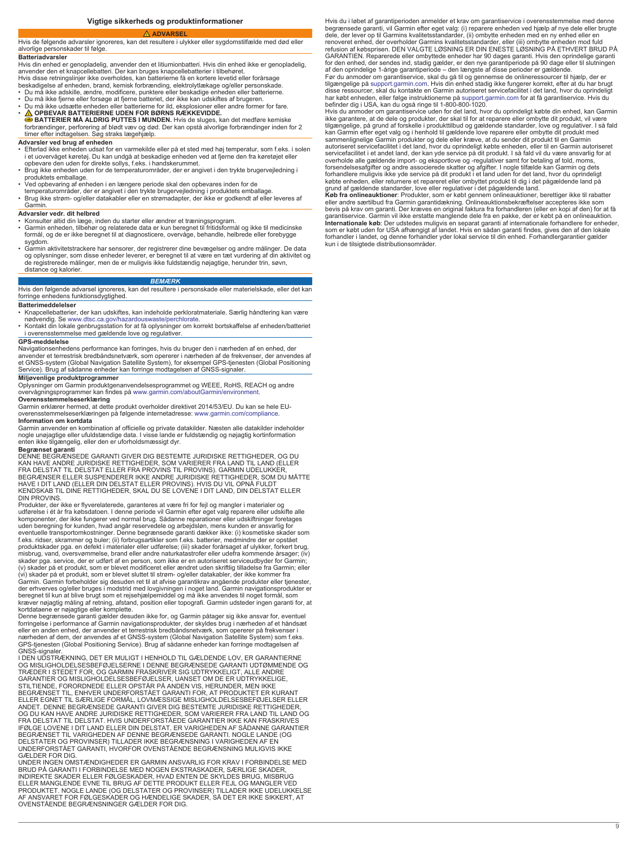# **ADVARSEL**

<span id="page-8-0"></span>Hvis de følgende advarsler ignoreres, kan det resultere i ulykker eller sygdomstilfælde med død eller alvorlige personskader til følge.

**Batteriadvarsler**

Hvis din enhed er genopladelig, anvender den et litiumionbatteri. Hvis din enhed ikke er genopladelig, anvender den et knapcellebatteri. Der kan bruges knapcellebatterier i tilbehøret.<br>Hvis disse retningslinjer ikke overholdes, kan batterierne få en kortere levetid eller forårsage<br>beskadigelse af enheden, brand, kemisk forb

- 
- Du må ikke adskille, ændre, modificere, punktere eller beskadige enheden eller batterierne. Du må ikke fjerne eller forsøge at fjerne batteriet, der ikke kan udskiftes af brugeren.
- Du må ikke udsætte enheden eller batterierne for ild, eksplosioner eller andre former for fare. • **OPBEVAR BATTERIERNE UDEN FOR BØRNS RÆKKEVIDDE. BATTERIER MÅ ALDRIG PUTTES I MUNDEN.** Hvis de sluges, kan det medføre kemiske forbrændinger, perforering af blødt væv og død. Der kan opstå alvorlige forbrændinger inden for 2
- timer efter indtagelsen. Søg straks lægehjælp. **Advarsler ved brug af enheden**

- Efterlad ikke enheden udsat for en varmekilde eller på et sted med høj temperatur, som f.eks. i solen i et uovervåget køretøj. Du kan undgå at beskadige enheden ved at fjerne den fra køretøjet eller opbevare den uden for direkte sollys, f.eks. i handskerummet.
- Brug ikke enheden uden for de temperaturområder, der er angivet i den trykte brugervejledning i
- 
- produktets emballage.<br>• Ved opbevaring af enheden i en længere periode skal den opbevares inden for de<br>• temperaturområder, der er angivet i den trykte brugervejledning i produktets emballage.<br>• Brug ikke strøm- og/eller d Garmin.

- **Advarsler vedr. dit helbred** Konsulter altid din læge, inden du starter eller ændrer et træningsprogram.
- Garmin enheden, tilbehør og relaterede data er kun beregnet til fritidsformål og ikke til medicinske formål, og de er ikke beregnet til at diagnosticere, overvåge, behandle, helbrede eller forebygge sygdom.
- Garmin aktivitetstrackere har sensorer, der registrerer dine bevægelser og andre målinger. De data<br>og oplysninger, som disse enheder leverer, er beregnet til at være en tæt vurdering af din aktivitet og<br>de registrerede m distance og kalorier.

### *BEMÆRK*

Hvis den følgende advarsel ignoreres, kan det resultere i personskade eller materielskade, eller det kan forringe enhedens funktionsdygtighed.

### **Batterimeddelelser**

- Knapcellebatterier, der kan udskiftes, kan indeholde perkloratmateriale. Særlig håndtering kan være nødvendig. Se [www.dtsc.ca.gov/hazardouswaste/perchlorate](http://www.dtsc.ca.gov/hazardouswaste/perchlorate). • Kontakt din lokale genbrugsstation for at få oplysninger om korrekt bortskaffelse af enheden/batteriet
- i overensstemmelse med gældende love og regulativer.

### **GPS-meddelelse**

Navigationsenhedens performance kan forringes, hvis du bruger den i nærheden af en enhed, der anvender et terrestrisk bredbåndsnetværk, som opererer i nærheden af de frekvenser, der anvendes af et GNSS-system (Global Navigation Satellite System), for eksempel GPS-tjenesten (Global Positioning<br>Service). Brug af sådanne enheder kan forringe modtagelsen af GNSS-signaler.

### **Miljøvenlige produktprogrammer**

Oplysninger om Garmin produktgenanvendelsesprogrammet og WEEE, RoHS, REACH og andre overvågningsprogrammer kan findes på [www.garmin.com/aboutGarmin/environment](http://www.garmin.com/aboutGarmin/environment).

**Overensstemmelseserklæring** Garmin erklærer hermed, at dette produkt overholder direktivet 2014/53/EU. Du kan se hele EUoverensstemmelseserklæringen på følgende internetadresse: [www.garmin.com/compliance.](http://www.garmin.com/compliance) **Information om kortdata**

Garmin anvender en kombination af officielle og private datakilder. Næsten alle datakilder indeholder<br>nogle unøjagtige eller ufuldstændige data. I visse lande er fuldstændig og nøjagtig kortinformation<br>enten ikke tilgængel

**Begrænset garanti**<br>DENNE BEGRÆNSEDE GARANTI GIVER DIG BESTEMTE JURIDISKE RETTIGHEDER, OG DU<br>KAN HAVE ANDRE JURIDISKE RETTIGHEDER, SOM VARIERER FRA LAND TIL LAND (ELLER FRA DELSTAT TIL DELSTAT ELLER FRA PROVINS TIL PROVINS). GARMIN UDELUKKER,<br>BEGRÆNSER ELLER SUSPENDERER IKKE ANDRE JURIDISKE RETTIGHEDER, SOM DU MÅTTE<br>HAVE I DIT LAND (ELLER DIN DELSTAT ELLER PROVINS). HVIS DU VIL OPNÅ FULDT KENDSKAB TIL DINE RETTIGHEDER, SKAL DU SE LOVENE I DIT LAND, DIN DELSTAT ELLER DIN PROVINS.

Produkter, der ikke er flyverelaterede, garanteres at være fri for fejl og mangler i materialer og udførelse i ét år fra købsdatoen. I denne periode vil Garmin efter eget valg reparere eller udskifte alle<br>komponenter, der ikke fungerer ved normal brug. Sådanne reparationer eller udskiftninger foretages<br>uden beregning fo produktskader pga. en defekt i materialer eller udførelse; (iii) skader forårsaget af ulykker, forkert brug, misbrug, vand, oversvømmelse, brand eller andre naturkatastrofer eller udefra kommende årsager; (iv) skader pga. service, der er udført af en person, som ikke er en autoriseret serviceudbyder for Garmin;<br>(v) skader på et produkt, som er blevet modificeret eller ændret uden skriftlig tilladelse fra Garmin; eller (vi) skader på et produkt, som er blevet sluttet til strøm- og/eller datakabler, der ikke kommer fra<br>Garmin. Garmin forbeholder sig desuden ret til at afvise garantikrav angående produkter eller tjenester,<br>der erhverves og

Denne begrænsede garanti gælder desuden ikke for, og Garmin påtager sig ikke ansvar for, eventuel<br>forringelse i performance af Garmin navigationsprodukter, der skyldes brug i nærheden af et håndsæt<br>eller en anden enhed, de nærheden af dem, der anvendes af et GNSS-system (Global Navigation Satellite System) som f.eks. GPS-tjenesten (Global Positioning Service). Brug af sådanne enheder kan forringe modtagelsen af

GNSS-signaler. I DEN UDSTRÆKNING, DET ER MULIGT I HENHOLD TIL GÆLDENDE LOV, ER GARANTIERNE OG MISLIGHOLDELSESBEFØJELSERNE I DENNE BEGRÆNSEDE GARANTI UDTØMMENDE OG TRÆDER I STEDET FOR, OG GARMIN FRASKRIVER SIG UDTRYKKELIGT, ALLE ANDRE GARANTIER OG MISLIGHOLDELSESBEFØJELSER, UANSET OM DE ER UDTRYKKELIGE,<br>STILTIENDE, FORORDNEDE ELLER OPSTÅR PÅ ANDEN VIS, HERUNDER, MEN IKKE<br>BEGRÆNSET TIL, ENHVER UNDERFORSTÅET GARANTI FOR, AT PRODUKTET ER KURANT ELLER EGNET TIL SÆRLIGE FORMÅL, LOVMÆSSIGE MISLIGHOLDELSESBEFØJELSER ELLER ANDET. DENNE BEGRÆNSEDE GARANTI GIVER DIG BESTEMTE JURIDISKE RETTIGHEDER, OG DU KAN HAVE ANDRE JURIDISKE RETTIGHEDER, SOM VARIERER FRA LAND TIL LAND OG FRA DELSTAT TIL DELSTAT. HVIS UNDERFORSTÅEDE GARANTIER IKKE KAN FRASKRIVES IFØLGE LOVENE I DIT LAND ELLER DIN DELSTAT, ER VARIGHEDEN AF SÅDANNE GARANTIER BEGRÆNSET TIL VARIGHEDEN AF DENNE BEGRÆNSEDE GARANTI. NOGLE LANDE (OG DELSTATER OG PROVINSER) TILLADER IKKE BEGRÆNSNING I VARIGHEDEN AF EN UNDERFORSTÅET GARANTI, HVORFOR OVENSTÅENDE BEGRÆNSNING MULIGVIS IKKE GÆLDER FOR DIG.

UNDER INGEN OMSTÆNDIGHEDER ER GARMIN ANSVARLIG FOR KRAV I FORBINDELSE MED BRUD PÅ GARANTI I FORBINDELSE MED NOGEN EKSTRASKADER, SÆRLIGE SKADER, INDIREKTE SKADER ELLER FØLGESKADER, HVAD ENTEN DE SKYLDES BRUG, MISBRUG ELLER MANGLENDE EVNE TIL BRUG AF DETTE PRODUKT ELLER FEJL OG MANGLER VED<br>PRODUKTET. NOGLE LANDE (OG DELSTATER OG PROVINSER) TILLADER IKKE UDELUKKELSE<br>AF ANSVARET FOR FØLGESKADER OG HÆNDELIGE SKADER, SÅ DET ER IKKE SIKKERT, OVENSTÅENDE BEGRÆNSNINGER GÆLDER FOR DIG.

Hvis du i løbet af garantiperioden anmelder et krav om garantiservice i overensstemmelse med denne begrænsede garanti, vil Garmin efter eget valg: (i) reparere enheden ved hjælp af nye dele eller brugte dele, der lever op til Garmins kvalitetsstandarder, (ii) ombytte enheden med en ny enhed eller en<br>renoveret enhed, der overholder Garmins kvalitetsstandarder, eller (iii) ombytte enheden mod fuld<br>refusion af købsprisen. D GARANTIEN. Reparerede eller ombyttede enheder har 90 dages garanti. Hvis den oprindelige garanti<br>for den enhed, der sendes ind, stadig gælder, er den nye garantiperiode på 90 dage eller til slutningen<br>af den oprindelige 1

Før du anmoder om garantiservice, skal du gå til og gennemse de onlineressourcer til hjælp, der er<br>tilgængelige på [support.garmin.com](http://www.support.garmin.com). Hvis din enhed stadig ikke fungerer korrekt, efter at du har brugt<br>disse ressourcer, sk har købt enheden, eller følge instruktionerne på [support.garmin.com](http://www.support.garmin.com) for at få garantiservice. Hvis du befinder dig i USA, kan du også ringe til 1-800-800-1020.

Hvis du anmoder om garantiservice uden for det land, hvor du oprindeligt købte din enhed, kan Garmin<br>ikke garantere, at de dele og produkter, der skal til for at reparere eller ombytte dit produkt, vil være<br>tilgængelige, p sammenlignelige Garmin produkter og dele eller kræve, at du sender dit produkt til en Garmin<br>autoriseret servicefacilitet i det land, hvor du oprindeligt købte enheden, eller til en Garmin autoriseret<br>servicefacilitet i et overholde alle gældende import- og eksportlove og -regulativer samt for betaling af told, moms,<br>forsendelsesafgifter og andre associerede skatter og afgifter. I nogle tilfælde kan Garmin og dets<br>forhandlere muligvis ikke y

eller andre særtilbud fra Garmin garantidækning. Onlineauktionsbekræftelser accepteres ikke som bevis på krav om garanti. Der kræves en original faktura fra forhandleren (eller en kopi af den) for at få garantiservice. Garmin vil ikke erstatte manglende dele fra en pakke, der er købt på en onlineauktion.<br>I**nternationale køb**: Der udstedes muligvis en separat garanti af internationale forhandlere for enheder,<br>som er købt u kun i de tilsigtede distributionsområder.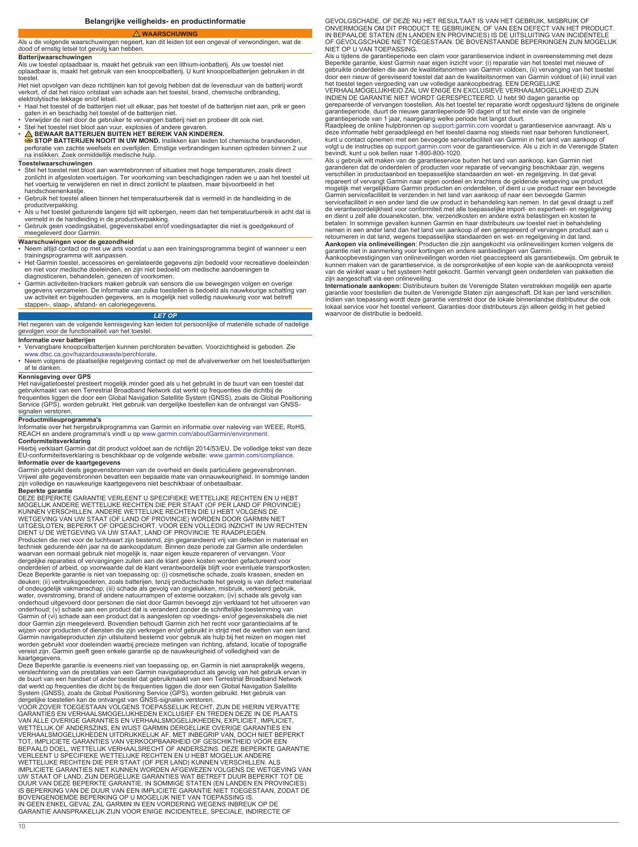### **WAARSCHUWING**

### <span id="page-9-0"></span>Als u de volgende waarschuwingen negeert, kan dit leiden tot een ongeval of verwondingen, wat de dood of ernstig letsel tot gevolg kan hebben.

## **Batterijwaarschuwingen**

Als uw toestel oplaadbaar is, maakt het gebruik van een lithium-ionbatterij. Als uw toestel niet

oplaadbaar is, maakt het gebruik van een knoopcelbatterij. U kunt knoopcelbatterijen gebruiken in dit

toestel.<br>Het niet opvolgen van deze richtlijnen kan tot gevolg hebben dat de levensduur van de batterij wordt<br>verkort, of dat het risico ontstaat van schade aan het toestel, brand, chemische ontbranding,<br>elektrolytische l

- 
- 
- 
- 
- Haal het toestel of de batterijen niet uit elkaar, pas het toestel of de batterijen niet aan, prik er geen<br>gaten in en beschadig het toestel of de batterijen niet.<br>• Verwijder de niet door de gebruiker te vervangen batt na inslikken. Zoek onmiddellijk medische hulp.

- **Toestelwaarschuwingen** Stel het toestel niet bloot aan warmtebronnen of situaties met hoge temperaturen, zoals direct zonlicht in afgesloten voertuigen. Ter voorkoming van beschadigingen raden we u aan het toestel uit het voertuig te verwijderen en niet in direct zonlicht te plaatsen, maar bijvoorbeeld in het handschoenenkastje.
- Gebruik het toestel alleen binnen het temperatuurbereik dat is vermeld in de handleiding in de
- productverpakking. Als u het toestel gedurende langere tijd wilt opbergen, neem dan het temperatuurbereik in acht dat is
- vermeld in de handleiding in de productverpakking. Gebruik geen voedingskabel, gegevenskabel en/of voedingsadapter die niet is goedgekeurd of

## meegeleverd door Garmin.

- **Waarschuwingen voor de gezondheid**
- Neem altijd contact op met uw arts voordat u aan een trainingsprogramma begint of wanneer u een
- 
- trainingsprogramma wilt aanpassen.<br>
Het Garmin toestle, accessories en gerelateerde gegevens zijn bedoeld voor recreatieve doeleinden<br>
en niet voor medische doeleinden, een zijn niet bedoeld om medische aandoeningen te<br>
di

### *LET OP*

Het negeren van de volgende kennisgeving kan leiden tot persoonlijke of materiële schade of nadelige gevolgen voor de functionaliteit van het toestel.

- **Informatie over batterijen**<br>• Vervangbare knoopcelbatterijen kunnen perchloraten bevatten. Voorzichtigheid is geboden. Zie
- [www.dtsc.ca.gov/hazardouswaste/perchlorate](http://www.dtsc.ca.gov/hazardouswaste/perchlorate). Neem volgens de plaatselijke regelgeving contact op met de afvalverwerker om het toestel/batterijen af te danken.

## **Kennisgeving over GPS**

Het navigatietoestel presteert mogelijk minder goed als u het gebruikt in de buurt van een toestel dat gebruikmaakt van een Terrestrial Broadband Network dat werkt op frequenties die dichtbij de frequenties liggen die door een Global Navigation Satellite System (GNSS), zoals de Global Positioning Service (GPS), worden gebruikt. Het gebruik van dergelijke toestellen kan de ontvangst van GNSSsignalen verstoren.

## **Productmilieuprogramma's**

Informatie over het hergebruikprogramma van Garmin en informatie over naleving van WEEE, RoHS,<br>REACH en andere programma's vindt u op [www.garmin.com/aboutGarmin/environment.](http://www.garmin.com/aboutGarmin/environment)

**Conformiteitsverklaring**<br>Hierbij verklaart Garmin dat dit product voldoet aan de richtlijn 2014/53/EU. De volledige tekst van deze EU-conformiteitsverklaring is beschikbaar op de volgende website: [www.garmin.com/compliance](http://www.garmin.com/compliance). **Informatie over de kaartgegevens**

Garmin gebruikt deels gegevensbronnen van de overheid en deels particuliere gegevensbronnen.<br>Vrijwel alle gegevensbronnen bevatten een bepaalde mate van onnauwkeurigheid. In sommige landen<br>zijn volledige en nauwkeurige kaa

**Beperkte garantie** DEZE BEPERKTE GARANTIE VERLEENT U SPECIFIEKE WETTELIJKE RECHTEN EN U HEBT MOGELIJK ANDERE WETTELIJKE RECHTEN DIE PER STAAT (OF PER LAND OF PROVINCIE)<br>KUNNEN VERSCHILLEN. ANDERE WETTELIJKE RECHTEN DIE U HEBT VOLGENS DE<br>WETGEVING VAN UW STAAT (OF LAND OF PROVINCIE) WORDEN DOOR GARMIN NIET<br>UITGESLO DIENT U DE WETGEVING VA UW STAAT, LAND OF PROVINCIE TE RAADPLEGEN. Producten die niet voor de luchtvaart zijn bestemd, zijn gegarandeerd vrij van defecten in materiaal en techniek gedurende één jaar na de aankoopdatum. Binnen deze periode zal Garmin alle onderdelen<br>waarvan een normaal gebruik niet mogelijk is, naar eigen keuze repareren of vervangen. Voor<br>dergelijke reparaties of vervanging Deze Beperkte garantie is niet van toepassing op: (i) cosmetische schade, zoals krassen, sneden en deuken; (ii) verbruiksgoederen, zoals batterijen, tenzij productschade het gevolg is van defect materiaal of ondeugdelijk vakmanschap; (iii) schade als gevolg van ongelukken, misbruik, verkeerd gebruik,<br>water, overstroming, brand of andere natuurrampen of externe oorzaken; (iv) schade als gevolg van<br>onderhoud uitgevoerd door p Garmin of (vi) schade aan een product dat is aangesloten op voedings- en/of gegevenskabels die niet<br>door Garmin zijn meegeleverd. Bovendien behoudt Garmin zich het recht voor garantieclaims af te<br>wijzen voor producten of d Garmin navigatieproducten zijn uitsluitend bestemd voor gebruik als hulp bij het reizen en mogen niet worden gebruikt voor doeleinden waarbij precieze metingen van richting, afstand, locatie of topografie vereist zijn. Garmin geeft geen enkele garantie op de nauwkeurigheid of volledigheid van de

kaartgegevens.<br>Deze Beperkte garantie is eveneens niet van toepassing op, en Garmin is niet aansprakelijk wegens,<br>verslechtering van de prestaties van een Garmin navigatieproduct als gevolg van het gebruik ervan in de buurt van een handset of ander toestel dat gebruikmaakt van een Terrestrial Broadband Network<br>dat werkt op frequenties die dicht bij de frequenties liggen die door een Global Navigation Satellite<br>System (GNSS), zoals de

GARANTIES EN VERHAALSMOGELIJKHEDEN EXCLUSIEF EN TREDEN DEZE IN DE PLAATS VAN ALLE OVERIGE GARANTIES EN VERHAALSMOGELIJKHEDEN, EXPLICIET, IMPLICIET, WETTELIJK OF ANDERSZINS, EN WIJST GARMIN DERGELIJKE OVERIGE GARANTIES EN<br>VERHAALSMOGELIJKHEDEN UITDRUKKELIJK AF, MET INBEGRIP VAN, DOCH NIET BEPERKT<br>TOT, IMPLICIETE GARANTIES VAN VERKOOPBAARHEID OF GESCHIKTHEID VOOR EEN<br>BE IMPLICIETE GARANTIES NIET KUNNEN WORDEN AFGEWEZEN VOLGENS DE WETGEVING VAN UW STAAT OF LAND, ZIJN DERGELIJKE GARANTIES WAT BETREFT DUUR BEPERKT TOT DE DUUR VAN DEZE BEPERKTE GARANTIE. IN SOMMIGE STATEN (EN LANDEN EN PROVINCIES)<br>IS BEPERKING VAN DE DUUR VAN EEN IMPLICIETE GARANTIE NIET TOEGESTAAN, ZODAT DE<br>BOVENGENOEMDE BEPERKING OP U MOGELIJK NIET VAN TOEPASSING IS. IN GEEN ENKEL GEVAL ZAL GARMIN IN EEN VORDERING WEGENS INBREUK OP DE GARANTIE AANSPRAKELIJK ZIJN VOOR ENIGE INCIDENTELE, SPECIALE, INDIRECTE OF

GEVOLGSCHADE, OF DEZE NU HET RESULTAAT IS VAN HET GEBRUIK, MISBRUIK OF ONVERMOGEN OM DIT PRODUCT TE GEBRUIKEN, OF VAN EEN DEFECT VAN HET PRODUCT.<br>IN BEPAALDE STATEN (EN LANDEN EN PROVINCIES) IS DE UITSLUITING VAN INCIDENTELE<br>OF GEVOLGSCHADE NIET TOEGESTAAN. DE BOVENSTAANDE BEPERKINGEN ZIJN MO NIET OP U VAN TOEPASSING.

Als u tijdens de garantieperiode een claim voor garantieservice indient in overeenstemming met deze<br>Beperkte garantie, kiest Garmin naar eigen inzicht voor: (i) reparatie van het toestel met nieuwe of<br>gebruikte onderdelen

INDIEN DE GARANTIE NIET WORDT GERESPECTEERD. U hebt 90 dagen garantie op gerepareerde of vervangen toestellen. Als het toestel ter reparatie wordt opgestuurd tijdens de originele

garantieperiode, duurt de nieuwe garantieperiode 90 dagen of tot het einde van de originele<br>garantieperiode van 1 jaar, naargelang welke periode het langst duurt.<br>Raadpleeg de online hulpbronnen op [support.garmin.com](http://www.support.garmin.com) voord kunt u contact opnemen met een bevoegde servicefaciliteit van Garmin in het land van aankoop of<br>volgt u de instructies op [support.garmin.com](http://www.support.garmin.com) voor de garantieservice. Als u zich in de Verenigde Staten<br>bevindt, kunt u ook be

Als u gebruik wilt maken van de garantieservice buiten het land van aankoop, kan Garmin niet garanderen dat de onderdelen of producten voor reparatie of vervanging beschikbaar zijn, wegens verschillen in productaanbod en toepasselijke standaarden en wet- en regelgeving. In dat geval<br>repareert of vervangt Garmin naar eigen oordeel en krachtens de geldende wetgeving uw product<br>mogelijk met vergelijkbare Garmin servicefaciliteit in een ander land die uw product in behandeling kan nemen. In dat geval draagt u zelf de verantwoordelijkheid voor conformiteit met alle toepasselijke import- en exportwet- en regelgeving en dient u zelf alle douanekosten, btw, verzendkosten en andere extra belastingen en kosten te<br>betalen. In sommige gevallen kunnen Garmin en haar distributeurs uw toestel niet in behandeling<br>nemen in een ander land dan het

**Aankopen via onlineveilingen**: Producten die zijn aangekocht via onlineveilingen komen volgens de<br>garantie niet in aanmerking voor kortingen en andere aanbiedingen van Garmin.

Aankoopbevestigingen van onlineveilingen worden niet geaccepteerd als garantiebewijs. Om gebruik te<br>kunnen maken van de garantieservice, is de oorspronkelijke of een kopie van de aankoopnota vereist<br>van de winkel waar u he

zijn aangeschaft via een onlineveiling.<br>**Internationale aankopen:** Distributeurs buiten de Verenigde Staten verstrekken mogelijk een aparte<br>garantie voor toestellen die buiten de Verenigde Staten zijn aangeschaft. Dit kan lokaal service voor het toestel verleent. Garanties door distributeurs zijn alleen geldig in het gebied waarvoor de distributie is bedoeld.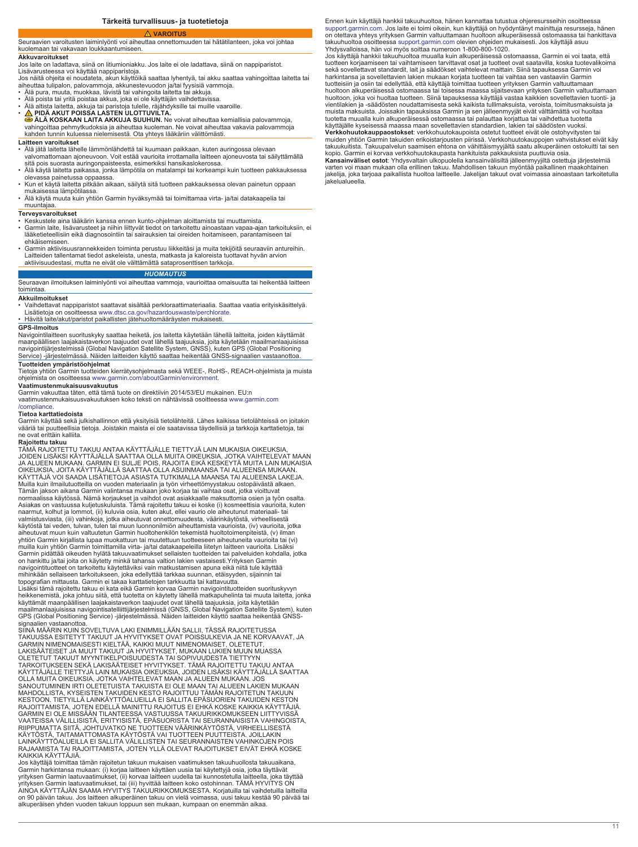## **VAROITUS**

### <span id="page-10-0"></span>Seuraavien varoitusten laiminlyönti voi aiheuttaa onnettomuuden tai hätätilanteen, joka voi johtaa kuolemaan tai vakavaan loukkaantumiseen.

### **Akkuvaroitukset**

Jos laite on ladattava, siinä on litiumioniakku. Jos laite ei ole ladattava, siinä on nappiparistot.

Lisävarusteessa voi käyttää nappiparistoja.<br>Jos näitä ohjeita ei noudateta, akun käyttöikä saattaa lyhentyä, tai akku saattaa vahingoittaa laitetta tai<br>aiheuttaa tulipalon, palovammoja, akkunestevuodon ja/tai fyysisiä vamm

- 
- Älä pura, muuta, muokkaa, lävistä tai vahingoita laitetta tai akkuja. Älä poista tai yritä poistaa akkua, joka ei ole käyttäjän vaihdettavissa.
- 
- Älä altista laitetta, akkuja tai paristoja tulelle, räjähdyksille tai muille vaaroille.<br>• <mark>杰</mark> PIDÄ AKUT POISSA LASTEN ULOTTUVILTA.<br>● ÄLÄ KOSKAAN LAITA AKKUJA SUUHUN. Ne voivat aiheuttaa kemiallisia palovammoja, vahingoittaa pehmytkudoksia ja aiheuttaa kuoleman. Ne voivat aiheuttaa vakavia palovammoja kahden tunnin kuluessa nielemisestä. Ota yhteys lääkäriin välittömästi.

### **Laitteen varoitukset**

- Älä jätä laitetta lähelle lämmönlähdettä tai kuumaan paikkaan, kuten auringossa olevaan valvomattomaan ajoneuvoon. Voit estää vaurioita irrottamalla laitteen ajoneuvosta tai säilyttämällä
- sitä pois suorasta auringonpaisteesta, esimerkiksi hansikaslokerossa. Älä käytä laitetta paikassa, jonka lämpötila on matalampi tai korkeampi kuin tuotteen pakkauksessa
- olevassa painetussa oppaassa. • Kun et käytä laitetta pitkään aikaan, säilytä sitä tuotteen pakkauksessa olevan painetun oppaan mukaisessa lämpötilassa.
- Älä käytä muuta kuin yhtiön Garmin hyväksymää tai toimittamaa virta- ja/tai datakaapelia tai

# muuntajaa.

- **Terveysvaroitukset** Keskustele aina lääkärin kanssa ennen kunto-ohjelman aloittamista tai muuttamista.
- Garmin laite, lisävarusteet ja niihin liittyvät tiedot on tarkoitettu ainoastaan vapaa-ajan tarkoituksiin, ei lääketieteellisiin eikä diagnosointiin tai sairauksien tai oireiden hoitamiseen, parantamiseen tai ehkäisemiseen.
- Garmin aktiivisuusrannekkeiden toiminta perustuu liikkeitäsi ja muita tekijöitä seuraaviin antureihin.<br>Laitteiden tallentamat tiedot askeleista, unesta, matkasta ja kaloreista tuottavat hyvän arvion<br>aktiivisuudestasi, mu

### *HUOMAUTUS*

Seuraavan ilmoituksen laiminlyönti voi aiheuttaa vammoja, vaurioittaa omaisuutta tai heikentää laitteen toimintaa.

## **Akkuilmoitukset**

• Vaihdettavat nappiparistot saattavat sisältää perkloraattimateriaalia. Saattaa vaatia erityiskäsittelyä. Lisätietoja on osoitteessa [www.dtsc.ca.gov/hazardouswaste/perchlorate](http://www.dtsc.ca.gov/hazardouswaste/perchlorate).

• Hävitä laite/akut/paristot paikallisten jätehuoltomääräysten mukaisesti.

### **GPS-ilmoitus**

Navigointilaitteen suorituskyky saattaa heiketä, jos laitetta käytetään lähellä laitteita, joiden käyttämät maanpäällisen laajakaistaverkon taajuudet ovat lähellä taajuuksia, joita käytetään maailmanlaajuisissa navigointijärjestelmissä (Global Navigation Satellite System, GNSS), kuten GPS (Global Positioning nävigelmäärjestelmissä (Siesai Navigallen ealellite System, SNSS), katen Si-S<br>Service) -järjestelmässä. Näiden laitteiden käyttö saattaa heikentää GNSS-signa

**Tuotteiden ympäristöohjelmat** Tietoja yhtiön Garmin tuotteiden kierrätysohjelmasta sekä WEEE-, RoHS-, REACH-ohjelmista ja muista ohjelmista on osoitteessa [www.garmin.com/aboutGarmin/environment](http://www.garmin.com/aboutGarmin/environment).

## **Vaatimustenmukaisuusvakuutus**

Garmin vakuuttaa täten, että tämä tuote on direktiivin 2014/53/EU mukainen. EU:n vaatimustenmukaisuusvakuutuksen koko teksti on nähtävissä osoitteessa [www.garmin.com](http://www.garmin.com/compliance)

[/compliance](http://www.garmin.com/compliance).<br>**Tietoa karttatiedoista**<br>Garmin käyttää sekä julkishallinnon että yksityisiä tietolähteitä. Lähes kaikissa tietolähteissä on joitakin vääriä tai puutteellisia tietoja. Joistakin maista ei ole saatavissa täydellisiä ja tarkkoja karttatietoja, tai ne ovat erittäin kalliita.

## **Rajoitettu takuu**

TÄMÄ RAJOITETTU TAKUU ANTAA KÄYTTÄJÄLLE TIETTYJÄ LAIN MUKAISIA OIKEUKSIA,<br>JOIDEN LISÄKSI KÄYTTÄJÄLLÄ SAATTAA OLLA MUITA OIKEUKSIA, JOTKA VAIHTELEVAT MAAN<br>JA ALUEEN MUKAAN. GARMIN EI SULJE POIS, RAJOITA EIKÄ KESKEYTÄ MUITA OIKEUKSIA, JOITA KÄYTTÄJÄLLÄ SAATTAA OLLA ASUINMAANSA TAI ALUEENSA MUKAAN.<br>KÄYTTÄJÄ VOI SAADA LISÄTIETOJA ASIASTA TUTKIMALLA MAANSA TAI ALUEENSA LAKEJA. Muilla kuin ilmailutuotteilla on vuoden materiaalin ja työn virheettömyystakuu ostopäivästä alkaen.<br>Tämän jakson aikana Garmin valintansa mukaan joko korjaa tai vaihtaa osat, jotka vioittuvat<br>normaalissa käytössä. Nämä kor Asiakas on vastuussa kuljetuskuluista. Tämä rajoitettu takuu ei koske (i) kosmeettisia vaurioita, kuten naarmut, kolhut ja lommot, (ii) kuluvia osia, kuten akut, ellei vaurio ole aiheutunut materiaali- tai<br>valmistusviasta, (iii) vahinkoja, jotka aiheutuvat onnettomuudesta, väärinkäytöstä, virheellisestä<br>käytöstä tai veden, t aiheutuvat muun kuin valtuutetun Garmin huoltohenkilön tekemistä huoltotoimenpiteistä, (v) ilman yhtiön Garmin kirjallista lupaa muokattuun tai muutettuun tuotteeseen aiheutuneita vaurioita tai (vi) muilla kuin yhtiön Garmin toimittamilla virta- ja/tai datakaapeleilla liitetyn laitteen vaurioita. Lisäksi<br>Garmin pidättää oikeuden hylätä takuuvaatimukset sellaisten tuotteiden tai palveluiden kohdalla, jotka<br>on hankittu mihinkään sellaiseen tarkoitukseen, joka edellyttää tarkkaa suunnan, etäisyyden, sijainnin tai topografian mittausta. Garmin ei takaa karttatietojen tarkkuutta tai kattavuutta. Lisäksi tämä rajoitettu takuu ei kata eikä Garmin korvaa Garmin navigointituotteiden suorituskyvyn<br>heikkenemistä, joka johtuu siitä, että tuotetta on käytetty lähellä matkapuhelinta tai muuta laitetta, jonka<br>käyttämät maan

maailmanlaajuisissa navigointisatelliittijärjestelmissä (GNSS, Global Navigation Satellite System), kuten GPS (Global Positioning Service) -järjestelmässä. Näiden laitteiden käyttö saattaa heikentää GNSSsignaalien vastaanottoa. SIINÄ MÄÄRIN KUIN SOVELTUVA LAKI ENIMMILLÄÄN SALLII, TÄSSÄ RAJOITETUSSA

TAKUUSSA ESITETYT TAKUUT JA HYVITYKSET OVAT POISSULKEVIA JA NE KORVAAVAT, JA GARMIN NIMENOMAISESTI KIELTÄÄ, KAIKKI MUUT NIMENOMAISET, OLETETUT, LAKISÄÄTEISET JA MUUT TAKUUT JA HYVITYKSET, MUKAAN LUKIEN MUUN MUASSA<br>OLETETUT TAKUUT MYYNTIKELPOISUUDESTA TAI SOPIVUUDESTA TIETTYYN<br>TARKOITUKSEEN SEKÄ LAKISÄÄTEISET HYVITYKSET. TÄMÄ RAJOITETTU TAKUU ANTAA KÄYTTÄJÄLLE TIETTYJÄ LAIN MUKAISIA OIKEUKSIA, JOIDEN LISÄKSI KÄYTTÄJÄLLÄ SAATTAA OLLA MUITA OIKEUKSIA, JOTKA VAIHTELEVAT MAAN JA ALUEEN MUKAAN. JOS<br>SANOUTUMINEN IRTI OLETETUISTA TAKUISTA EI OLE MAAN TAI ALUEEN LAKIEN MUKAAN<br>MAHDOLLISTA, KYSEISTEN TAKUIDEN KESTO RAJOITTUU TÄMÄN RAJOITETUN TAKUUN KESTOON. TIETYILLÄ LAINKÄYTTÖALUEILLA EI SALLITA EPÄSUORIEN TAKUIDEN KESTON RAJOITTAMISTA, JOTEN EDELLÄ MAINITTU RAJOITUS EI EHKÄ KOSKE KAIKKIA KÄYTTÄJIÄ. GARMIN EI OLE MISSÄÄN TILANTEESSA VASTUUSSA TAKUURIKKOMUKSEEN LIITTYVISSÄ<br>VAATEISSA VÄLILLISISTÄ, ERITYISISTÄ, EPÄSUORISTA TAI SEURANNAISISTA VAHINGOISTA, RIIPPUMATTA SIITÄ, JOHTUVATKO NE TUOTTEEN VÄÄRINKÄYTÖSTÄ, VIRHEELLISESTÄ<br>KÄYTÖSTÄ, TAITAMATTOMASTA KÄYTÖSTÄ VAI TUOTTEEN PUUTTEISTA. JOILLAKIN LAINKÄYTTÖALUEILLA EI SALLITA VÄLILLISTEN TAI SEURANNAISTEN VAHINKOJEN POIS<br>RAJAAMISTA TAI RAJOITTAMISTA, JOTEN YLLÄ OLEVAT RAJOITUKSET EIVÄT EHKÄ KOSKE<br>KAIKKIA KÄYTTÄJIÄ.

Jos käyttäjä toimittaa tämän rajoitetun takuun mukaisen vaatimuksen takuuhuollosta takuuaikana, Garmin harkintansa mukaan: (i) korjaa laitteen käyttäen uusia tai käytettyjä osia, jotka täyttävät<br>yrityksen Garmin laatuvaatimukset, (ii) korvaa laitteen uudella tai kunnostetulla laitteella, joka täyttää yrityksen Garmin laatuvaatimukset, tai (iii) hyvittää laitteen koko ostohinnan. TÄMÄ HYVITYS ON AINOA KÄYTTÄJÄN SAAMA HYVITYS TAKUURIKKOMUKSESTA. Korjatuilla tai vaihdetuilla laitteilla on 90 päivän takuu. Jos laitteen alkuperäinen takuu on vielä voimassa, uusi takuu kestää 90 päivää tai alkuperäisen yhden vuoden takuun loppuun sen mukaan, kumpaan on enemmän aikaa.

Ennen kuin käyttäjä hankkii takuuhuoltoa, hänen kannattaa tutustua ohjeresursseihin osoitteessa [support.garmin.com.](http://www.support.garmin.com) Jos laite ei toimi oikein, kun käyttäjä on hyödyntänyt mainittuja resursseja, hänen on otettava yhteys yrityksen Garmin valtuuttamaan huoltoon alkuperäisessä ostomaassa tai hankittava takuuhuoltoa osoitteessa [support.garmin.com](http://www.support.garmin.com) olevien ohjeiden mukaisesti. Jos käyttäjä asuu Yhdysvalloissa, hän voi myös soittaa numeroon 1-800-800-1020.

Jos käyttäjä hankkii takuuhuoltoa muualla kuin alkuperäisessä ostomaassa, Garmin ei voi taata, että tuotteen korjaamiseen tai vaihtamiseen tarvittavat osat ja tuotteet ovat saatavilla, koska tuotevalikoima sekä sovellettavat standardit, lait ja säädökset vaihtelevat maittain. Siinä tapauksessa Garmin voi harkintansa ja sovellettavien lakien mukaan korjata tuotteen tai vaihtaa sen vastaaviin Garmin tuotteisiin ja osiin tai edellyttää, että käyttäjä toimittaa tuotteen yrityksen Garmin valtuuttamaan huoltoon alkuperäisessä ostomaassa tai toisessa maassa sijaitsevaan yrityksen Garmin valtuuttamaan huoltoon, joka voi huoltaa tuotteen. Siinä tapauksessa käyttäjä vastaa kaikkien sovellettavien tuonti- ja vientilakien ja -säädösten noudattamisesta sekä kaikista tullimaksuista, veroista, toimitusmaksuista ja muista maksuista. Joissakin tapauksissa Garmin ja sen jälleenmyyjät eivät välttämättä voi huoltaa<br>tuotetta muualla kuin alkuperäisessä ostomaassa tai palauttaa korjattua tai vaihdettua tuotetta<br>käyttäjälle kyseisessä maass **Verkkohuutokauppaostokset**: verkkohuutokaupoista ostetut tuotteet eivät ole ostohyvitysten tai muiden yhtiön Garmin takuiden erikoistarjousten piirissä. Verkkohuutokauppojen vahvistukset eivät käy takuukuitista. Takuupalvelun saamisen ehtona on vähittäismyyjältä saatu alkuperäinen ostokuitti tai sen

kopio. Garmin ei korvaa verkkohuutokaupasta hankituista pakkauksista puuttuvia osia. **Kansainväliset ostot**: Yhdysvaltain ulkopuolella kansainvälisiltä jälleenmyyjiltä ostettuja järjestelmiä varten voi maan mukaan olla erillinen takuu. Mahdollisen takuun myöntää paikallinen maakohtainen

jakelija, joka tarjoaa paikallista huoltoa laitteelle. Jakelijan takuut ovat voimassa ainoastaan tarkoitetulla jakelualueella.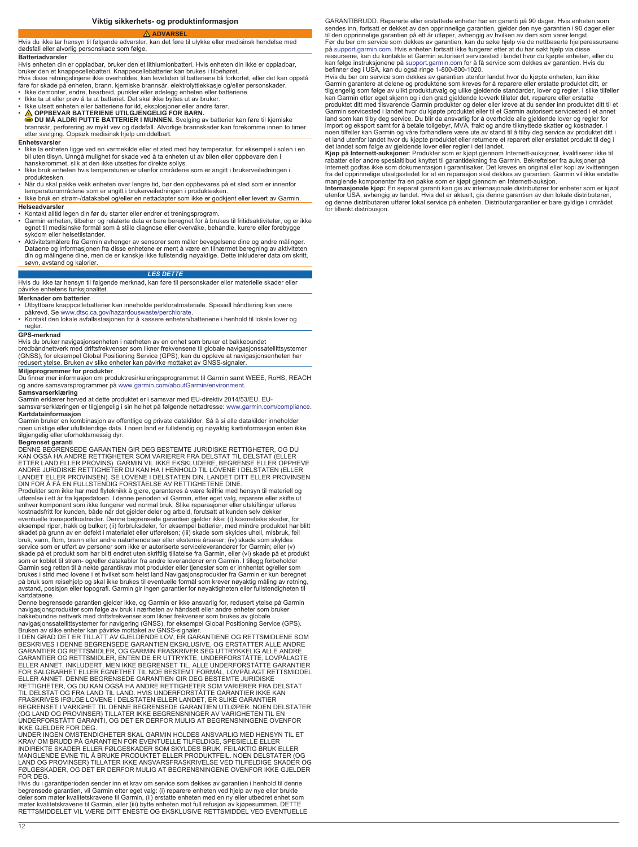## **ADVARSEL**

<span id="page-11-0"></span>Hvis du ikke tar hensyn til følgende advarsler, kan det føre til ulykke eller medisinsk hendelse med dødsfall eller alvorlig personskade som følge.

## **Batteriadvarsler**

Hvis enheten din er oppladbar, bruker den et lithiumionbatteri. Hvis enheten din ikke er oppladbar, bruker den et knappecellebatteri. Knappecellebatterier kan brukes i tilbehøret.

Hvis disse retningslinjene ikke overholdes, kan levetiden til batteriene bli forkortet, eller det kan oppstå<br>fare for skade på enheten, brann, kjemiske brannsår, elektrolyttlekkasje og/eller personskader.

- Ikke demonter, endre, bearbeid, punkter eller ødelegg enheten eller batteriene. Ikke ta ut eller prøv å ta ut batteriet. Det skal ikke byttes ut av bruker.
- Ikke utsett enheten eller batteriene for ild, eksplosjoner eller andre farer.
- 
- **OPPBEVAR BATTERIENE UTILGJENGELIG FOR BARN. DU MÅ ALDRI PUTTE BATTERIER I MUNNEN.** Svelging av batterier kan føre til kjemiske brannsår, perforering av mykt vev og dødsfall. Alvorlige brannskader kan forekomme innen to timer etter svelging. Oppsøk medisinsk hjelp umiddelbart.

### **Enhetsvarsler**

- Ikke la enheten ligge ved en varmekilde eller et sted med høy temperatur, for eksempel i solen i en bil uten tilsyn. Unngå mulighet for skade ved å ta enheten ut av bilen eller oppbevare den i hanskerommet, slik at den ikke utsettes for direkte sollys.
- Ikke bruk enheten hvis temperaturen er utenfor områdene som er angitt i brukerveiledningen i produktesken.
- Når du skal pakke vekk enheten over lengre tid, bør den oppbevares på et sted som er innenfor<br> temperaturområdene som er angitt i brukerveiledningen i produktesken.<br>• Ikke bruk en strøm-/datakabel og/eller en nettad
- **Helseadvarsler**
- 
- Kontakt alltid legen din før du starter eller endrer et treningsprogram. Garmin enheten, tilbehør og relaterte data er bare beregnet for å brukes til fritidsaktiviteter, og er ikke egnet til medisinske formål som å stille diagnose eller overvåke, behandle, kurere eller forebygge sykdom eller helsetilstander.
- Aktivitetsmålere fra Garmin avhenger av sensorer som måler bevegelsene dine og andre målinger.<br>Dataene og informasjonen fra disse enhetene er ment å være en tilnærmet beregning av aktiviteten<br>din og målingene dine, men d søvn, avstand og kalorier.

## *LES DETTE*

Hvis du ikke tar hensyn til følgende merknad, kan føre til personskader eller materielle skader eller påvirke enhetens funksjonalitet.

**Merknader om batterier** • Utbyttbare knappcellebatterier kan inneholde perkloratmateriale. Spesiell håndtering kan være

påkrevd. Se [www.dtsc.ca.gov/hazardouswaste/perchlorate.](http://www.dtsc.ca.gov/hazardouswaste/perchlorate) • Kontakt den lokale avfallsstasjonen for å kassere enheten/batteriene i henhold til lokale lover og regler

### **GPS-merknad**

Hvis du bruker navigasjonsenheten i nærheten av en enhet som bruker et bakkebundet

bredbåndnettverk med driftsfrekvenser som likner frekvensene til globale navigasjonssatellittsystemer (GNSS), for eksempel Global Positioning Service (GPS), kan du oppleve at navigasjonsenheten har redusert ytelse. Bruken av slike enheter kan påvirke mottaket av GNSS-signaler.

### **Miljøprogrammer for produkter**

Du finner mer informasjon om produktresirkuleringsprogrammet til Garmin samt WEEE, RoHS, REACH og andre samsvarsprogrammer på [www.garmin.com/aboutGarmin/environment.](http://www.garmin.com/aboutGarmin/environment)

## **Samsvarserklæring**

Garmin erklærer herved at dette produktet er i samsvar med EU-direktiv 2014/53/EU. EU-samsvarserklæringen er tilgjengelig i sin helhet på følgende nettadresse: [www.garmin.com/compliance](http://www.garmin.com/compliance).

**Kartdatainformasjon**<br>Garmin bruker en kombinasjon av offentlige og private datakilder. Så å si alle datakilder inneholder noen uriktige eller ufullstendige data. I noen land er fullstendig og nøyaktig kartinformasjon enten ikke tilgjengelig eller uforholdsmessig dyr.

**Begrenset garanti**<br>DENNE BEGRENSEDE GARANTIEN GIR DEG BESTEMTE JURIDISKE RETTIGHETER, OG DU<br>KAN OGSÅ HA ANDRE RETTIGHETER SOM VARIERER FRA DELSTAT TIL DELSTAT (ELLER<br>ETTER LAND ELLER PROVINS). GARMIN VIL IKKE EKSKLUDERE, ANDRE JURIDISKE RETTIGHETER DU KAN HA I HENHOLD TIL LOVENE I DELSTATEN (ELLER LANDET ELLER PROVINSEN). SE LOVENE I DELSTATEN DIN, LANDET DITT ELLER PROVINSEN DIN FOR Å FÅ EN FULLSTENDIG FORSTÅELSE AV RETTIGHETENE DINE. Produkter som ikke har med flyteknikk å gjøre, garanteres å være feilfrie med hensyn til materiell og utførelse i ett år fra kjøpsdatoen. I denne perioden vil Garmin, etter eget valg, reparere eller skifte ut enhver komponent som ikke fungerer ved normal bruk. Slike reparasjoner eller utskiftinger utføres

kostnadsfritt for kunden, både når det gjelder deler og arbeid, forutsatt at kunden selv dekker<br>eventuelle transportkostnader. Denne begrensede garantien gjelder ikke: (i) kosmetiske skader, for<br>eksempel riper, hakk og bul skadet på grunn av en defekt i materialet eller utførelsen; (iii) skade som skyldes uhell, misbruk, feil bruk, vann, flom, brann eller andre naturhendelser eller eksterne årsaker; (iv) skade som skyldes service som er utført av personer som ikke er autoriserte serviceleverandører for Garmin; eller (v)<br>skade på et produkt som har blitt endret uten skriftig tillatelse fra Garmin, eller (vi) skade på et produkt<br>som er koblet brukes i strid med lovene i et hvilket som helst land.Navigasjonsprodukter fra Garmin er kun beregnet<br>på bruk som reisehjelp og skal ikke brukes til eventuelle formål som krever nøyaktig måling av retning, avstand, posisjon eller topografi. Garmin gir ingen garantier for nøyaktigheten eller fullstendigheten til kartdataene.

Denne begrensede garantien gjelder ikke, og Garmin er ikke ansvarlig for, redusert ytelse på Garmin navigasjonsprodukter som følge av bruk i nærheten av håndsett eller andre enheter som bruker bakkebundne nettverk med driftsfrekvenser som likner frekvenser som brukes av globale

navigasjonssatellittsystemer for navigering (GNSS), for eksempel Global Positioning Service (GPS).<br>Bruken av slike enheter kan påvirke mottaket av GNSS-signaler.<br>I DEN GRAD DET ER TILLATT AV GJELDENDE LOV, ER GARANTIENE OG GARANTIER OG RETTSMIDLER, OG GARMIN FRASKRIVER SEG UTTRYKKELIG ALLE ANDRE<br>GARANTIER OG RETTSMIDLER, ENTEN DE ER UTTRYKTE, UNDERFORSTÅTTE, LOVPÅLAGTE<br>ELLER ANNET, INKLUDERT, MEN IKKE BEGRENSET TIL, ALLE UNDERFORSTÅTTE GARAN FOR SALGBARHET ELLER EGNETHET TIL NOE BESTEMT FORMÅL, LOVPÅLAGT RETTSMIDDEL ELLER ANNET. DENNE BEGRENSEDE GARANTIEN GIR DEG BESTEMTE JURIDISKE<br>RETTIGHETER, OG DU KAN OGSÅ HA ANDRE RETTIGHETER SOM VARIERER FRA DELSTAT<br>TIL DELSTAT OG FRA LAND TIL LAND. HVIS UNDERFORSTÅTTE GARANTIER IKKE KAN FRASKRIVES IFØLGE LOVENE I DELSTATEN ELLER LANDET, ER SLIKE GARANTIER BEGRENSET I VARIGHET TIL DENNE BEGRENSEDE GARANTIEN UTLØPER. NOEN DELSTATER (OG LAND OG PROVINSER) TILLATER IKKE BEGRENSNINGER AV VARIGHETEN TIL EN UNDERFORSTÅTT GARANTI, OG DET ER DERFOR MULIG AT BEGRENSNINGENE OVENFOR

IKKE GJELDER FOR DEG. UNDER INGEN OMSTENDIGHETER SKAL GARMIN HOLDES ANSVARLIG MED HENSYN TIL ET KRAV OM BRUDD PÅ GARANTIEN FOR EVENTUELLE TILFELDIGE, SPESIELLE ELLER<br>INDIREKTE SKADER ELLER FØLGESKADER SOM SKYLDES BRUK, FEILAKTIG BRUK ELLER<br>MANGLENDE EVNE TIL Å BRUKE PRODUKTET ELLER PRODUKTFEIL. NOEN DELSTATER (OG<br>LAN FØLGESKADER, OG DET ER DERFOR MULIG AT BEGRENSNINGENE OVENFOR IKKE GJELDER FOR DEG.

Hvis du i garantiperioden sender inn et krav om service som dekkes av garantien i henhold til denne<br>begrensede garantien, vil Garmin etter eget valg: (i) reparere enheten ved hjelp av nye eller brukte<br>deler som møter kvali

GARANTIBRUDD. Reparerte eller erstattede enheter har en garanti på 90 dager. Hvis enheten som sendes inn, fortsatt er dekket av den opprinnelige garantien, gjelder den nye garantien i 90 dager eller til den opprinnelige garantien på ett år utløper, avhengig av hvilken av dem som varer lengst.<br>Før du ber om service som dekkes av garantien, kan du søke hjelp via de nettbaserte hjelperessursene<br>på [support.garmin.com](http://www.support.garmin.com). Hvi befinner deg i USA, kan du også ringe 1-800-800-1020.

Hvis du ber om service som dekkes av garantien utenfor landet hvor du kjøpte enheten, kan ikke<br>Garmin garantere at delene og produktene som kreves for å reparere eller erstatte produktet ditt, er<br>tilgjengelig som følge av kan Garmin etter eget skjønn og i den grad gjeldende lovverk tillater det, reparere eller erstatte produktet ditt med tilsvarende Garmin produkter og deler eller kreve at du sender inn produktet ditt til et Garmin servicested i landet hvor du kjøpte produktet eller til et Garmin autorisert servicested i et annet<br>land som kan tilby deg service. Du blir da ansvarlig for å overholde alle gjeldende lover og regler for<br>import og e

et land utenfor landet hvor du kjøpte produktet eller returnere et reparert eller erstattet produkt til deg i<br>Kjøp på Internett-auksjoner: Produkter som er kjøpt gjennom Internett-auksjoner, kvalifiserer ikke til<br>Kjøp på I fra det opprinnelige utsalgsstedet for at en reparasjon skal dekkes av garantien. Garmin vil ikke erstatte

manglende komponenter fra en pakke som er kjøpt gjennom en Internett-auksjon.<br>**Internasjonale kjøp:** En separat garanti kan gis av internasjonale distributører for enheter som er kjøpt<br>utenfor USA, avhengig av landet. Hvis og denne distributøren utfører lokal service på enheten. Distributørgarantier er bare gyldige i området for tiltenkt distribusjon.